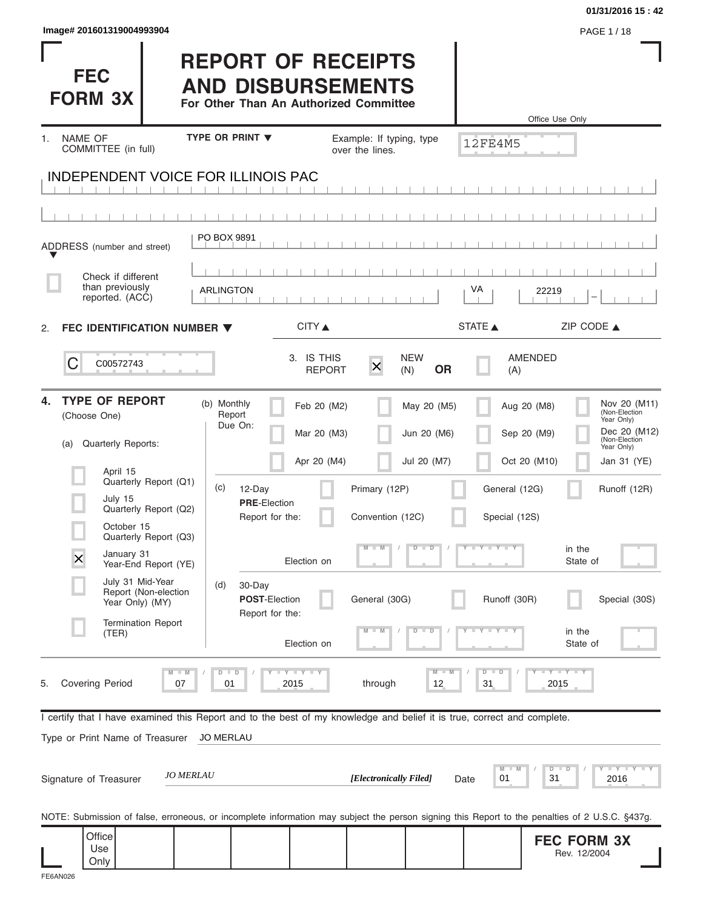| Image# 201601319004993904 |  |  |  |  |
|---------------------------|--|--|--|--|
|                           |  |  |  |  |

|                                                                                                                                                |                                                                                                 |                                           |                                                            |                                                                  | 01/31/2016 15:42                                                                                                                          |
|------------------------------------------------------------------------------------------------------------------------------------------------|-------------------------------------------------------------------------------------------------|-------------------------------------------|------------------------------------------------------------|------------------------------------------------------------------|-------------------------------------------------------------------------------------------------------------------------------------------|
| Image# 201601319004993904                                                                                                                      |                                                                                                 |                                           |                                                            |                                                                  | PAGE 1/18                                                                                                                                 |
| <b>FEC</b><br><b>FORM 3X</b>                                                                                                                   | <b>REPORT OF RECEIPTS</b><br><b>AND DISBURSEMENTS</b><br>For Other Than An Authorized Committee |                                           |                                                            |                                                                  | Office Use Only                                                                                                                           |
| <b>NAME OF</b><br>1.                                                                                                                           | <b>TYPE OR PRINT ▼</b>                                                                          |                                           | Example: If typing, type                                   | <b>12FE4M5</b>                                                   |                                                                                                                                           |
| COMMITTEE (in full)                                                                                                                            |                                                                                                 |                                           | over the lines.                                            |                                                                  |                                                                                                                                           |
| <b>INDEPENDENT VOICE FOR ILLINOIS PAC</b>                                                                                                      |                                                                                                 |                                           |                                                            |                                                                  |                                                                                                                                           |
|                                                                                                                                                |                                                                                                 |                                           |                                                            |                                                                  |                                                                                                                                           |
| ADDRESS (number and street)                                                                                                                    | PO BOX 9891                                                                                     |                                           |                                                            |                                                                  |                                                                                                                                           |
| Check if different                                                                                                                             |                                                                                                 |                                           |                                                            |                                                                  |                                                                                                                                           |
| than previously<br>reported. (ACC)                                                                                                             | <b>ARLINGTON</b>                                                                                |                                           |                                                            | VA<br>22219                                                      |                                                                                                                                           |
| FEC IDENTIFICATION NUMBER ▼<br>2.                                                                                                              |                                                                                                 | CITY ▲                                    |                                                            | STATE A                                                          | ZIP CODE ▲                                                                                                                                |
| C<br>C00572743                                                                                                                                 |                                                                                                 | 3. IS THIS<br><b>REPORT</b>               | <b>NEW</b><br>$\overline{\mathsf{x}}$<br><b>OR</b><br>(N)  | AMENDED<br>(A)                                                   |                                                                                                                                           |
| <b>TYPE OF REPORT</b><br>4.<br>(Choose One)<br>Quarterly Reports:<br>(a)<br>April 15<br>Quarterly Report (Q1)                                  | (b) Monthly<br>Report<br>Due On:<br>(c)<br>12-Day                                               | Feb 20 (M2)<br>Mar 20 (M3)<br>Apr 20 (M4) | May 20 (M5)<br>Jun 20 (M6)<br>Jul 20 (M7)<br>Primary (12P) | Aug 20 (M8)<br>Sep 20 (M9)<br>Oct 20 (M10)<br>General (12G)      | Nov 20 (M11)<br>(Non-Election<br>Year Only)<br>Dec 20 (M12)<br>(Non-Election<br>Year Only)<br>Jan 31 (YE)<br>Runoff (12R)                 |
| July 15<br>Quarterly Report (Q2)<br>October 15                                                                                                 | <b>PRE-Election</b><br>Report for the:                                                          |                                           | Convention (12C)                                           | Special (12S)                                                    |                                                                                                                                           |
| Quarterly Report (Q3)<br>January 31<br>X                                                                                                       |                                                                                                 |                                           | $M - M$<br>$D$ $D$                                         | $Y = Y = Y + Y$                                                  | in the                                                                                                                                    |
| Year-End Report (YE)<br>July 31 Mid-Year<br>Report (Non-election<br>Year Only) (MY)                                                            | (d)<br>30-Day<br><b>POST-Election</b>                                                           | Election on                               | General (30G)                                              | Runoff (30R)                                                     | State of<br>Special (30S)                                                                                                                 |
| <b>Termination Report</b><br>(TER)                                                                                                             | Report for the:                                                                                 | Election on                               | $M - M$<br>$\overline{D}$<br>$\Box$                        | $\mathbf{I} = \mathbf{Y} - \mathbf{I} - \mathbf{Y} - \mathbf{I}$ | in the<br>State of                                                                                                                        |
| <b>Covering Period</b><br>5.<br>07                                                                                                             | $D$ $D$<br>01                                                                                   | Y I Y I Y<br>2015                         | through<br>12                                              | $D - D$<br>31                                                    | $-Y - Y - Y$<br>2015                                                                                                                      |
| I certify that I have examined this Report and to the best of my knowledge and belief it is true, correct and complete.                        |                                                                                                 |                                           |                                                            |                                                                  |                                                                                                                                           |
| Type or Print Name of Treasurer                                                                                                                | <b>JO MERLAU</b>                                                                                |                                           |                                                            |                                                                  |                                                                                                                                           |
| Signature of Treasurer                                                                                                                         | <i><b>JO MERLAU</b></i>                                                                         |                                           | [Electronically Filed]                                     | M<br>$D - I$<br>01<br>31<br>Date                                 | $       +$ $ +$ $ +$ $ +$ $ +$ $ +$ $ +$ $ +$ $ +$ $ +$ $ +$ $ +$ $ +$ $ +$ $ +$ $ +$ $ +$ $ +$ $ +$ $ +$ $ +$ $ +$ $ +$ $ +$ $-$<br>2016 |
| NOTE: Submission of false, erroneous, or incomplete information may subject the person signing this Report to the penalties of 2 U.S.C. §437g. |                                                                                                 |                                           |                                                            |                                                                  |                                                                                                                                           |

**FEC FORM 3X** Rev. 12/2004 **Office** Use Only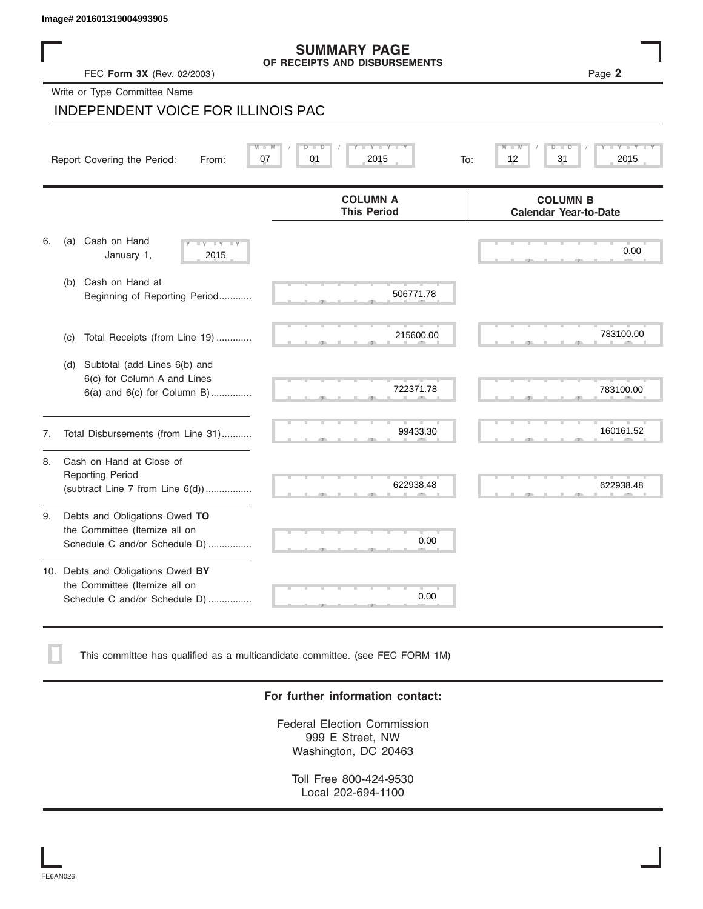| Image# 201601319004993905                                                                             |                                                      |                                                 |
|-------------------------------------------------------------------------------------------------------|------------------------------------------------------|-------------------------------------------------|
| FEC Form 3X (Rev. 02/2003)                                                                            | <b>SUMMARY PAGE</b><br>OF RECEIPTS AND DISBURSEMENTS | Page 2                                          |
| Write or Type Committee Name                                                                          |                                                      |                                                 |
| INDEPENDENT VOICE FOR ILLINOIS PAC                                                                    |                                                      |                                                 |
| Report Covering the Period:<br>From:                                                                  | 07<br>01<br>2015<br>To:                              | 12<br>31<br>2015                                |
|                                                                                                       | <b>COLUMN A</b><br><b>This Period</b>                | <b>COLUMN B</b><br><b>Calendar Year-to-Date</b> |
| Cash on Hand<br>6.<br>(a)<br>$-Y$<br>$\overline{\mathbf{v}}$<br>January 1,<br>2015                    | <b>TIP</b>                                           | 0.00                                            |
| Cash on Hand at<br>(b)<br>Beginning of Reporting Period                                               | 506771.78                                            |                                                 |
| Total Receipts (from Line 19)<br>(C)                                                                  | 215600.00                                            | 783100.00                                       |
| Subtotal (add Lines 6(b) and<br>(d)<br>6(c) for Column A and Lines<br>$6(a)$ and $6(c)$ for Column B) | 722371.78                                            | 783100.00                                       |
| Total Disbursements (from Line 31)<br>7.                                                              | 99433.30                                             | 160161.52                                       |
| Cash on Hand at Close of<br>8.<br><b>Reporting Period</b><br>(subtract Line $7$ from Line $6(d)$ )    | 622938.48                                            | 622938.48                                       |
| Debts and Obligations Owed TO<br>9.<br>the Committee (Itemize all on<br>Schedule C and/or Schedule D) | 0.00                                                 |                                                 |
| 10. Debts and Obligations Owed BY<br>the Committee (Itemize all on<br>Schedule C and/or Schedule D)   | 0.00                                                 |                                                 |

This committee has qualified as a multicandidate committee. (see FEC FORM 1M)

### **For further information contact:**

Federal Election Commission 999 E Street, NW Washington, DC 20463

Toll Free 800-424-9530 Local 202-694-1100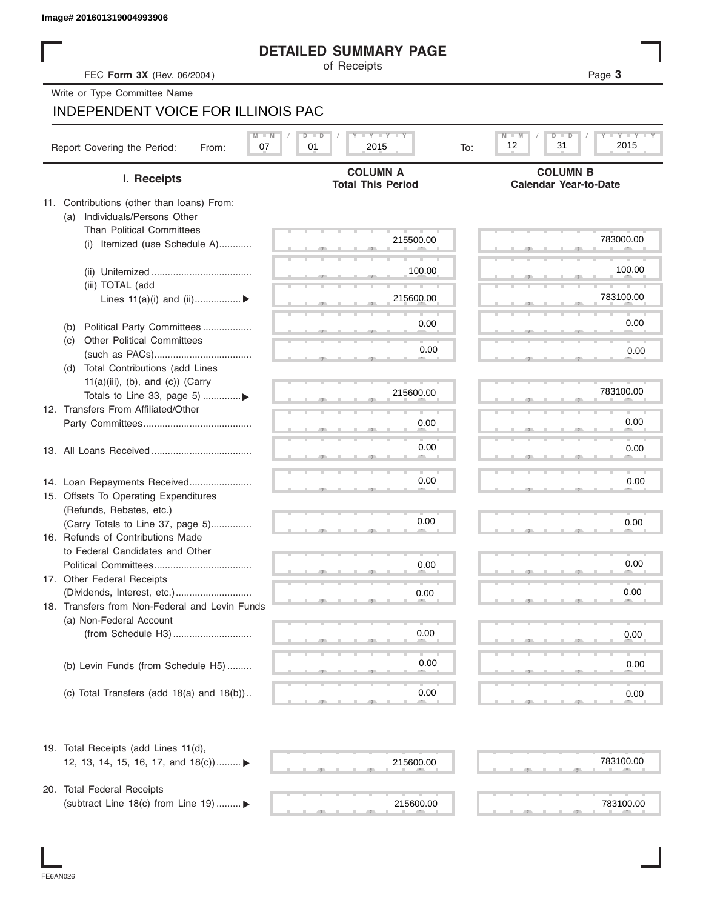## **DETAILED SUMMARY PAGE**

|                                                | <b>DETAILED SUMMARY PAGE</b>                |                                                 |
|------------------------------------------------|---------------------------------------------|-------------------------------------------------|
| FEC Form 3X (Rev. 06/2004)                     | of Receipts                                 | Page 3                                          |
| Write or Type Committee Name                   |                                             |                                                 |
| <b>INDEPENDENT VOICE FOR ILLINOIS PAC</b>      |                                             |                                                 |
|                                                | $T - Y = T - Y = T - Y$<br>D I              | $M - M$<br>Y TY<br>$D - I$                      |
| Report Covering the Period:<br>07<br>From:     | 01<br>2015<br>To:                           | 12<br>31<br>2015                                |
| I. Receipts                                    | <b>COLUMN A</b><br><b>Total This Period</b> | <b>COLUMN B</b><br><b>Calendar Year-to-Date</b> |
| 11. Contributions (other than loans) From:     |                                             |                                                 |
| Individuals/Persons Other<br>(a)               |                                             |                                                 |
| <b>Than Political Committees</b>               | 215500.00                                   | 783000.00                                       |
| (i) Itemized (use Schedule A)                  |                                             |                                                 |
|                                                |                                             |                                                 |
|                                                | 100.00                                      | 100.00                                          |
| (iii) TOTAL (add                               |                                             |                                                 |
| Lines $11(a)(i)$ and $(ii)$                    | 215600.00                                   | 783100.00                                       |
|                                                | 0.00                                        | 0.00                                            |
| Political Party Committees<br>(b)              |                                             |                                                 |
| <b>Other Political Committees</b><br>(c)       | 0.00                                        | 0.00                                            |
| Total Contributions (add Lines<br>(d)          |                                             |                                                 |
| $11(a)(iii)$ , (b), and (c)) (Carry            |                                             |                                                 |
| Totals to Line 33, page 5) ▶                   | 215600.00                                   | 783100.00                                       |
| 12. Transfers From Affiliated/Other            |                                             |                                                 |
|                                                | 0.00                                        | 0.00                                            |
|                                                |                                             |                                                 |
|                                                | 0.00                                        | 0.00                                            |
|                                                |                                             |                                                 |
| 14. Loan Repayments Received                   | 0.00                                        | 0.00                                            |
| 15. Offsets To Operating Expenditures          |                                             |                                                 |
| (Refunds, Rebates, etc.)                       |                                             |                                                 |
| (Carry Totals to Line 37, page 5)              | 0.00                                        | 0.00                                            |
| 16. Refunds of Contributions Made              |                                             |                                                 |
| to Federal Candidates and Other                |                                             |                                                 |
| Political Committees                           | 0.00                                        | 0.00                                            |
| 17. Other Federal Receipts                     |                                             |                                                 |
|                                                | 0.00                                        | 0.00                                            |
| 18. Transfers from Non-Federal and Levin Funds |                                             |                                                 |
| (a) Non-Federal Account                        |                                             |                                                 |
|                                                | 0.00                                        | 0.00                                            |
|                                                |                                             |                                                 |
| (b) Levin Funds (from Schedule H5)             | 0.00                                        | 0.00                                            |
|                                                |                                             |                                                 |
| (c) Total Transfers (add $18(a)$ and $18(b)$ ) | 0.00                                        | 0.00                                            |
| 19. Total Receipts (add Lines 11(d),           |                                             |                                                 |
| 12, 13, 14, 15, 16, 17, and 18(c)) ▶           | 215600.00                                   | 783100.00                                       |
|                                                |                                             |                                                 |
| 20. Total Federal Receipts                     |                                             |                                                 |
| (subtract Line 18(c) from Line 19)  ▶          | 215600.00                                   | 783100.00                                       |
|                                                |                                             |                                                 |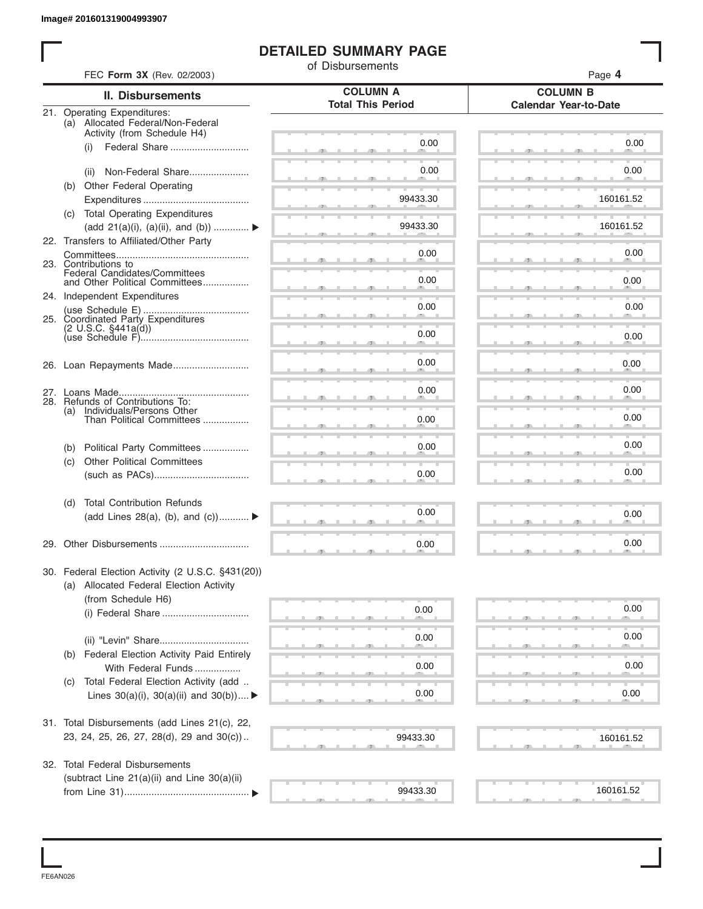# **DETAILED SUMMARY PAGE**

|     |                                                                  | of Disbursements                            |                                                 |
|-----|------------------------------------------------------------------|---------------------------------------------|-------------------------------------------------|
|     | FEC Form 3X (Rev. 02/2003)                                       |                                             | Page 4                                          |
|     | <b>II. Disbursements</b>                                         | <b>COLUMN A</b><br><b>Total This Period</b> | <b>COLUMN B</b><br><b>Calendar Year-to-Date</b> |
|     | 21. Operating Expenditures:<br>(a) Allocated Federal/Non-Federal |                                             |                                                 |
|     | Activity (from Schedule H4)                                      |                                             |                                                 |
|     | Federal Share<br>(i)                                             | 0.00                                        | 0.00                                            |
|     |                                                                  | 0.00                                        | 0.00                                            |
|     | Non-Federal Share<br>(ii)                                        |                                             |                                                 |
|     | (b) Other Federal Operating                                      | 99433.30                                    | 160161.52                                       |
|     | (c) Total Operating Expenditures                                 |                                             |                                                 |
|     | (add 21(a)(i), (a)(ii), and (b))                                 | 99433.30                                    | 160161.52                                       |
|     | 22. Transfers to Affiliated/Other Party                          |                                             |                                                 |
|     |                                                                  | 0.00                                        | 0.00                                            |
|     | 23. Contributions to                                             |                                             |                                                 |
|     | Federal Candidates/Committees<br>and Other Political Committees  | 0.00                                        | 0.00                                            |
|     | 24. Independent Expenditures                                     |                                             |                                                 |
|     |                                                                  | 0.00                                        | 0.00                                            |
|     | 25. Coordinated Party Expenditures                               |                                             |                                                 |
|     | $(2 \text{ U.S.C. } $441a(d))$                                   | 0.00                                        | 0.00                                            |
|     |                                                                  |                                             |                                                 |
|     | 26. Loan Repayments Made                                         | 0.00                                        | 0.00                                            |
|     |                                                                  |                                             |                                                 |
|     |                                                                  | 0.00                                        | 0.00                                            |
| (a) | 28. Refunds of Contributions To:                                 |                                             |                                                 |
|     | Individuals/Persons Other<br>Than Political Committees           | 0.00                                        | 0.00                                            |
|     |                                                                  |                                             |                                                 |
| (b) | Political Party Committees                                       | 0.00                                        | 0.00                                            |
| (c) | <b>Other Political Committees</b>                                |                                             |                                                 |
|     |                                                                  | 0.00                                        | 0.00                                            |
| (d) | <b>Total Contribution Refunds</b>                                |                                             |                                                 |
|     | (add Lines 28(a), (b), and (c))                                  | 0.00                                        | 0.00                                            |
|     |                                                                  |                                             |                                                 |
|     | 29. Other Disbursements                                          | 0.00                                        | 0.00                                            |
|     |                                                                  |                                             |                                                 |
|     | 30. Federal Election Activity (2 U.S.C. §431(20))                |                                             |                                                 |
|     | (a) Allocated Federal Election Activity                          |                                             |                                                 |
|     | (from Schedule H6)                                               |                                             |                                                 |
|     |                                                                  | 0.00                                        | 0.00                                            |
|     |                                                                  |                                             |                                                 |
|     |                                                                  | 0.00                                        | 0.00                                            |
|     | (b) Federal Election Activity Paid Entirely                      |                                             |                                                 |
|     | With Federal Funds                                               | 0.00                                        | 0.00                                            |
| (C) | Total Federal Election Activity (add                             |                                             |                                                 |
|     | Lines $30(a)(i)$ , $30(a)(ii)$ and $30(b))$                      | 0.00                                        | 0.00                                            |
|     |                                                                  |                                             |                                                 |
|     | 31. Total Disbursements (add Lines 21(c), 22,                    |                                             |                                                 |
|     | 23, 24, 25, 26, 27, 28(d), 29 and 30(c))                         | 99433.30                                    | 160161.52                                       |
|     |                                                                  |                                             |                                                 |
|     | 32. Total Federal Disbursements                                  |                                             |                                                 |
|     | (subtract Line 21(a)(ii) and Line 30(a)(ii)                      | 99433.30                                    | 160161.52                                       |

FE6AN026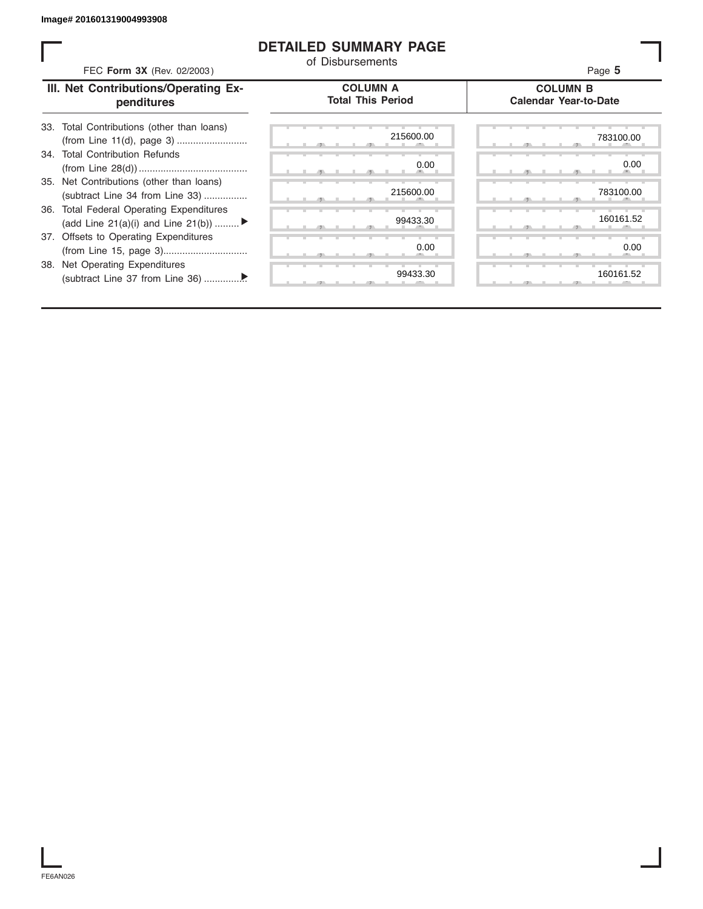## **DETAILED SUMMARY PAGE**

| FEC Form 3X (Rev. 02/2003)                                                     | <b>DETAILED SUMMARY PAGE</b><br>of Disbursements | Page 5                                          |
|--------------------------------------------------------------------------------|--------------------------------------------------|-------------------------------------------------|
| III. Net Contributions/Operating Ex-<br>penditures                             | <b>COLUMN A</b><br><b>Total This Period</b>      | <b>COLUMN B</b><br><b>Calendar Year-to-Date</b> |
| 33. Total Contributions (other than loans)                                     | 215600.00                                        | 783100.00                                       |
| 34. Total Contribution Refunds                                                 | 0.00                                             | 0.00                                            |
| 35. Net Contributions (other than loans)<br>(subtract Line 34 from Line 33)    | 215600.00                                        | 783100.00                                       |
| 36. Total Federal Operating Expenditures<br>(add Line 21(a)(i) and Line 21(b)) | 99433.30                                         | 160161.52                                       |
| <b>Offsets to Operating Expenditures</b><br>37.                                | 0.00                                             | 0.00                                            |
| Net Operating Expenditures<br>38.                                              | 99433.30                                         | 160161.52                                       |

FE6AN026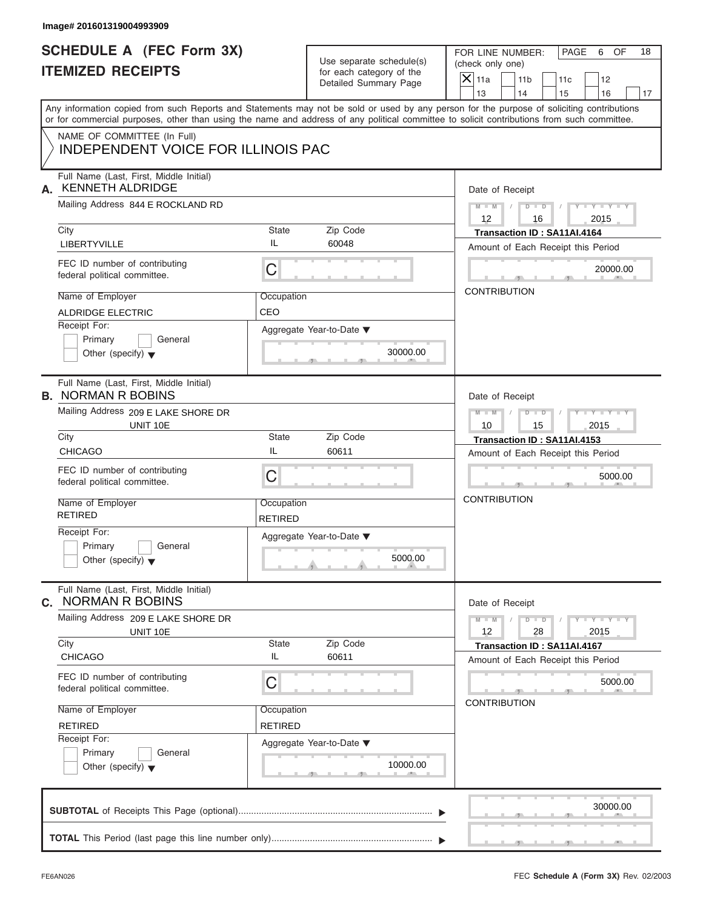# **SCHEDULE A (FEC Form 3X)**

| <b>SCHEDULE A (FEC Form 3X)</b><br><b>ITEMIZED RECEIPTS</b>                                                                                                                                                                                                                                                                                                                       | Use separate schedule(s)<br>for each category of the<br>Detailed Summary Page                                                   | PAGE<br>OF<br>18<br>FOR LINE NUMBER:<br>6<br>(check only one)<br>$ \mathsf{X} $ 11a<br>11 <sub>b</sub><br>11c<br>12<br>14<br>13<br>15<br>16<br>17                                                                                                                                       |
|-----------------------------------------------------------------------------------------------------------------------------------------------------------------------------------------------------------------------------------------------------------------------------------------------------------------------------------------------------------------------------------|---------------------------------------------------------------------------------------------------------------------------------|-----------------------------------------------------------------------------------------------------------------------------------------------------------------------------------------------------------------------------------------------------------------------------------------|
| NAME OF COMMITTEE (In Full)<br><b>INDEPENDENT VOICE FOR ILLINOIS PAC</b>                                                                                                                                                                                                                                                                                                          |                                                                                                                                 | Any information copied from such Reports and Statements may not be sold or used by any person for the purpose of soliciting contributions<br>or for commercial purposes, other than using the name and address of any political committee to solicit contributions from such committee. |
| Full Name (Last, First, Middle Initial)<br><b>KENNETH ALDRIDGE</b><br>А.<br>Mailing Address 844 E ROCKLAND RD<br>City<br>LIBERTYVILLE<br>FEC ID number of contributing<br>federal political committee.<br>Name of Employer<br><b>ALDRIDGE ELECTRIC</b><br>Receipt For:<br>Primary<br>General                                                                                      | Zip Code<br><b>State</b><br>IL<br>60048<br>C<br>Occupation<br>CEO<br>Aggregate Year-to-Date ▼                                   |                                                                                                                                                                                                                                                                                         |
| Other (specify) $\blacktriangledown$<br>Full Name (Last, First, Middle Initial)<br><b>B. NORMAN R BOBINS</b><br>Mailing Address 209 E LAKE SHORE DR<br>UNIT 10E<br>City<br><b>CHICAGO</b><br>FEC ID number of contributing<br>federal political committee.<br>Name of Employer<br><b>RETIRED</b><br>Receipt For:<br>Primary<br>General                                            | 30000.00<br>Zip Code<br><b>State</b><br>IL<br>60611<br>C<br>Occupation<br><b>RETIRED</b><br>Aggregate Year-to-Date ▼            | Date of Receipt<br>$M - M$<br>$D$ $D$<br>$T - Y = T - T$<br>2015<br>10<br>15<br>Transaction ID: SA11AI.4153<br>Amount of Each Receipt this Period<br>5000.00<br><b>CONTRIBUTION</b>                                                                                                     |
| Other (specify) $\blacktriangledown$<br>Full Name (Last, First, Middle Initial)<br><b>NORMAN R BOBINS</b><br>C.<br>Mailing Address 209 E LAKE SHORE DR<br>UNIT 10E<br>City<br><b>CHICAGO</b><br>FEC ID number of contributing<br>federal political committee.<br>Name of Employer<br><b>RETIRED</b><br>Receipt For:<br>Primary<br>General<br>Other (specify) $\blacktriangledown$ | 5000.00<br>Zip Code<br><b>State</b><br>IL<br>60611<br>C<br>Occupation<br><b>RETIRED</b><br>Aggregate Year-to-Date ▼<br>10000.00 | Date of Receipt<br>$D$ $\Box$ $D$<br>$M - M$<br>$Y - Y - Y - Y - Y$<br>12<br>28<br>2015<br>Transaction ID: SA11AI.4167<br>Amount of Each Receipt this Period<br>5000.00<br><b>CONTRIBUTION</b>                                                                                          |

|  |  |  |  |  | 30000.00 |  |
|--|--|--|--|--|----------|--|
|  |  |  |  |  |          |  |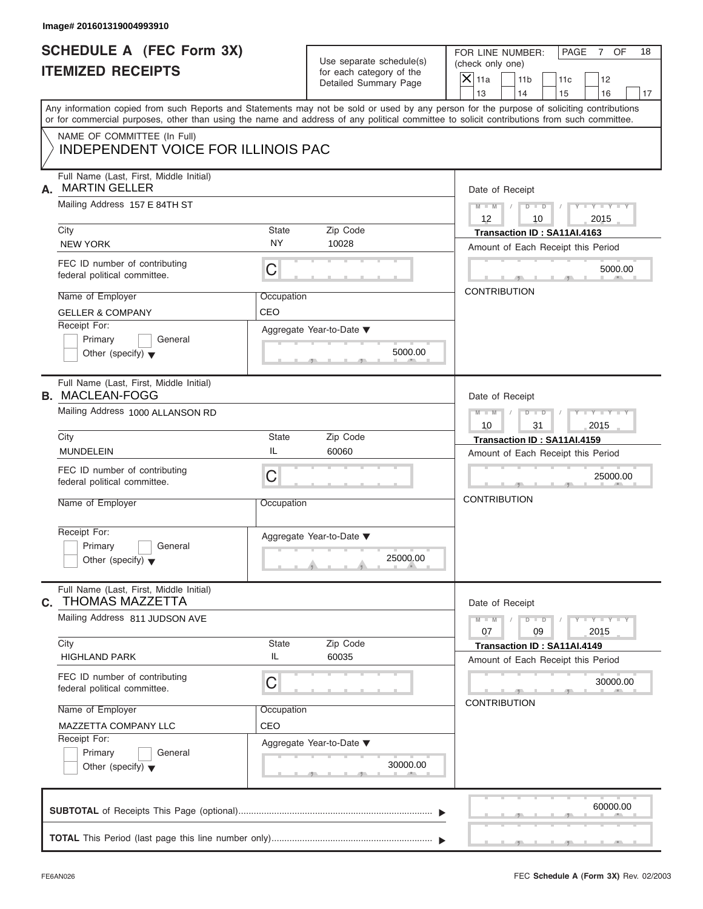# **SCHEDULE A (FEC Form 3X) ITEMIZED RECEIPTS**

FOR LINE NUMBER: PAGE 7 OF<br>(check only one)

| SCHEDULE A (FEC Form 3X)<br><b>ITEMIZED RECEIPTS</b>                                                                                                                                                                                                                                                                                                                | Use separate schedule(s)<br>for each category of the<br>Detailed Summary Page                                                          | FOR LINE NUMBER:<br>PAGE<br>7 OF<br>18<br>(check only one)<br>$\mathsf{X}$ 11a<br>11 <sub>b</sub><br>12<br>11c                                                                      |
|---------------------------------------------------------------------------------------------------------------------------------------------------------------------------------------------------------------------------------------------------------------------------------------------------------------------------------------------------------------------|----------------------------------------------------------------------------------------------------------------------------------------|-------------------------------------------------------------------------------------------------------------------------------------------------------------------------------------|
| Any information copied from such Reports and Statements may not be sold or used by any person for the purpose of soliciting contributions<br>or for commercial purposes, other than using the name and address of any political committee to solicit contributions from such committee.<br>NAME OF COMMITTEE (In Full)<br><b>INDEPENDENT VOICE FOR ILLINOIS PAC</b> |                                                                                                                                        | 13<br>14<br>15<br>16<br>17                                                                                                                                                          |
| Full Name (Last, First, Middle Initial)<br><b>MARTIN GELLER</b><br>А.<br>Mailing Address 157 E 84TH ST<br>City<br><b>NEW YORK</b><br>FEC ID number of contributing<br>federal political committee.<br>Name of Employer<br><b>GELLER &amp; COMPANY</b><br>Receipt For:<br>Primary<br>General<br>Other (specify) $\blacktriangledown$                                 | <b>State</b><br>Zip Code<br><b>NY</b><br>10028<br>С<br>Occupation<br>CEO<br>Aggregate Year-to-Date ▼<br>5000.00                        | Date of Receipt<br>$M - M$ /<br>$D$ $D$<br>$Y - Y - Y$<br>12<br>10<br>2015<br>Transaction ID: SA11AI.4163<br>Amount of Each Receipt this Period<br>5000.00<br><b>CONTRIBUTION</b>   |
| Full Name (Last, First, Middle Initial)<br><b>B. MACLEAN-FOGG</b><br>Mailing Address 1000 ALLANSON RD<br>City<br><b>MUNDELEIN</b><br>FEC ID number of contributing<br>federal political committee.<br>Name of Employer<br>Receipt For:<br>General<br>Primary<br>Other (specify) $\blacktriangledown$                                                                | <b>State</b><br>Zip Code<br>IL<br>60060<br>C<br>Occupation<br>Aggregate Year-to-Date ▼<br>25000.00<br>$\theta$ and the set of $\theta$ | Date of Receipt<br>$M - M$<br>$D$ $D$<br>Y T Y T<br>31<br>2015<br>10<br>Transaction ID: SA11AI.4159<br>Amount of Each Receipt this Period<br>25000.00<br><b>CONTRIBUTION</b>        |
| Full Name (Last, First, Middle Initial)<br><b>THOMAS MAZZETTA</b><br>C.<br>Mailing Address 811 JUDSON AVE<br>City<br><b>HIGHLAND PARK</b><br>FEC ID number of contributing<br>federal political committee.<br>Name of Employer<br>MAZZETTA COMPANY LLC<br>Receipt For:<br>Primary<br>General<br>Other (specify) $\blacktriangledown$                                | Zip Code<br><b>State</b><br>IL<br>60035<br>C<br>Occupation<br>CEO<br>Aggregate Year-to-Date ▼<br>30000.00                              | Date of Receipt<br>$M - M$<br>$D$ $\Box$ $D$<br>$Y = Y$<br>09<br>07<br>2015<br>Transaction ID: SA11AI.4149<br>Amount of Each Receipt this Period<br>30000.00<br><b>CONTRIBUTION</b> |
|                                                                                                                                                                                                                                                                                                                                                                     |                                                                                                                                        | 60000.00                                                                                                                                                                            |

S S S , , .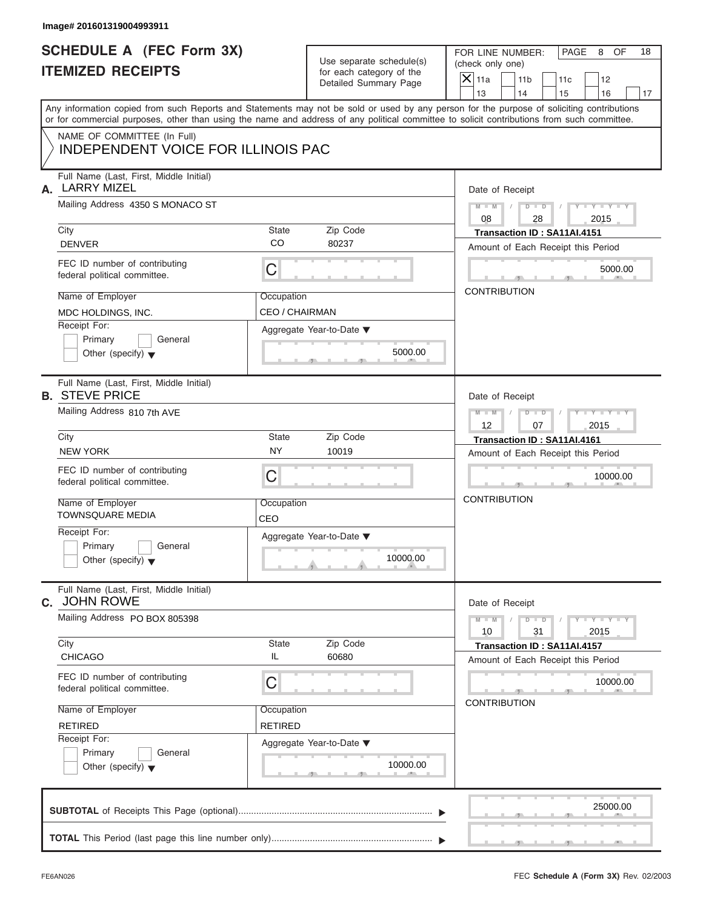# **SCHEDULE A (FEC Form 3X) ITEMIZED RECEIPTS**

|    | SCHEDULE A (FEC Form 3X)<br><b>ITEMIZED RECEIPTS</b>                                                                                                                                                                                                                                    |                    | Use separate schedule(s)<br>for each category of the<br>Detailed Summary Page                            | (check only one)<br>$\mathsf{X}$ 11a<br>13 | FOR LINE NUMBER:<br>11 <sub>b</sub><br>14                       | PAGE<br>OF<br>18<br>8<br>11c<br>12<br>15<br>16<br>17 |  |  |  |
|----|-----------------------------------------------------------------------------------------------------------------------------------------------------------------------------------------------------------------------------------------------------------------------------------------|--------------------|----------------------------------------------------------------------------------------------------------|--------------------------------------------|-----------------------------------------------------------------|------------------------------------------------------|--|--|--|
|    | Any information copied from such Reports and Statements may not be sold or used by any person for the purpose of soliciting contributions<br>or for commercial purposes, other than using the name and address of any political committee to solicit contributions from such committee. |                    |                                                                                                          |                                            |                                                                 |                                                      |  |  |  |
|    | NAME OF COMMITTEE (In Full)<br><b>INDEPENDENT VOICE FOR ILLINOIS PAC</b>                                                                                                                                                                                                                |                    |                                                                                                          |                                            |                                                                 |                                                      |  |  |  |
| А. | Full Name (Last, First, Middle Initial)<br><b>LARRY MIZEL</b><br>Mailing Address 4350 S MONACO ST                                                                                                                                                                                       |                    | Date of Receipt                                                                                          |                                            |                                                                 |                                                      |  |  |  |
|    |                                                                                                                                                                                                                                                                                         |                    | $M - M$ /<br>08                                                                                          | $D$ $D$<br>28                              | $Y - Y - Y - Y - Y$<br>2015                                     |                                                      |  |  |  |
|    | City<br><b>DENVER</b>                                                                                                                                                                                                                                                                   | State<br><b>CO</b> | Zip Code<br>80237                                                                                        |                                            | Transaction ID: SA11AI.4151                                     | Amount of Each Receipt this Period                   |  |  |  |
|    | FEC ID number of contributing<br>federal political committee.                                                                                                                                                                                                                           | C                  |                                                                                                          |                                            | $\mathbf{r}$ and $\mathbf{r}$ and $\mathbf{r}$ and $\mathbf{r}$ | 5000.00<br><b>ALC AND</b>                            |  |  |  |
|    | Name of Employer                                                                                                                                                                                                                                                                        | Occupation         |                                                                                                          |                                            | <b>CONTRIBUTION</b>                                             |                                                      |  |  |  |
|    | MDC HOLDINGS, INC.<br>Receipt For:<br>Primary<br>General<br>Other (specify) $\blacktriangledown$                                                                                                                                                                                        | CEO / CHAIRMAN     | Aggregate Year-to-Date ▼<br>5000.00<br>$-1$ $-1$ $-1$                                                    |                                            |                                                                 |                                                      |  |  |  |
|    | Full Name (Last, First, Middle Initial)<br><b>B. STEVE PRICE</b>                                                                                                                                                                                                                        |                    |                                                                                                          |                                            | Date of Receipt                                                 |                                                      |  |  |  |
|    | Mailing Address 810 7th AVE                                                                                                                                                                                                                                                             |                    | $M - M$<br>12                                                                                            | $D$ $D$<br>07                              | $Y - Y - Y - I$<br>2015                                         |                                                      |  |  |  |
|    | City<br><b>NEW YORK</b>                                                                                                                                                                                                                                                                 | State<br><b>NY</b> | Zip Code<br>10019                                                                                        |                                            | Transaction ID: SA11AI.4161                                     |                                                      |  |  |  |
|    | FEC ID number of contributing<br>federal political committee.                                                                                                                                                                                                                           | C                  |                                                                                                          |                                            | $ -$                                                            | Amount of Each Receipt this Period<br>10000.00       |  |  |  |
|    | Name of Employer<br><b>TOWNSQUARE MEDIA</b>                                                                                                                                                                                                                                             | Occupation<br>CEO  |                                                                                                          |                                            | <b>CONTRIBUTION</b>                                             |                                                      |  |  |  |
|    | Receipt For:<br>Primary<br>General<br>Other (specify) $\blacktriangledown$                                                                                                                                                                                                              |                    | Aggregate Year-to-Date ▼<br>10000.00<br>$\mathcal{F}$ and the set of $\mathcal{F}$<br><b>All Angeles</b> |                                            |                                                                 |                                                      |  |  |  |
| С. | Full Name (Last, First, Middle Initial)<br><b>JOHN ROWE</b>                                                                                                                                                                                                                             |                    |                                                                                                          |                                            | Date of Receipt                                                 |                                                      |  |  |  |
|    | Mailing Address PO BOX 805398                                                                                                                                                                                                                                                           |                    |                                                                                                          | $M - M$<br>10                              | $D$ $D$<br>31                                                   | $Y - Y - Y - Y - Y$<br>2015                          |  |  |  |
|    | City<br><b>CHICAGO</b>                                                                                                                                                                                                                                                                  | State<br>IL        | Zip Code<br>60680                                                                                        |                                            | Transaction ID: SA11AI.4157                                     | Amount of Each Receipt this Period                   |  |  |  |
|    | FEC ID number of contributing<br>federal political committee.                                                                                                                                                                                                                           | a Ba               | Æ<br><b>CONTRIBUTION</b>                                                                                 |                                            | 10000.00                                                        |                                                      |  |  |  |
|    | Name of Employer<br>Occupation                                                                                                                                                                                                                                                          |                    |                                                                                                          |                                            |                                                                 |                                                      |  |  |  |
|    | <b>RETIRED</b><br>Receipt For:                                                                                                                                                                                                                                                          | <b>RETIRED</b>     |                                                                                                          |                                            |                                                                 |                                                      |  |  |  |
|    | Primary<br>General                                                                                                                                                                                                                                                                      |                    | Aggregate Year-to-Date ▼                                                                                 |                                            |                                                                 |                                                      |  |  |  |
|    | Other (specify) $\blacktriangledown$                                                                                                                                                                                                                                                    |                    | 10000.00<br>. .<br>$-7$                                                                                  |                                            |                                                                 |                                                      |  |  |  |
|    |                                                                                                                                                                                                                                                                                         |                    |                                                                                                          |                                            |                                                                 | 25000.00                                             |  |  |  |
|    |                                                                                                                                                                                                                                                                                         |                    |                                                                                                          |                                            |                                                                 |                                                      |  |  |  |

**TOTAL** This Period (last page this line number only) ............................................................... T T

S S S , , .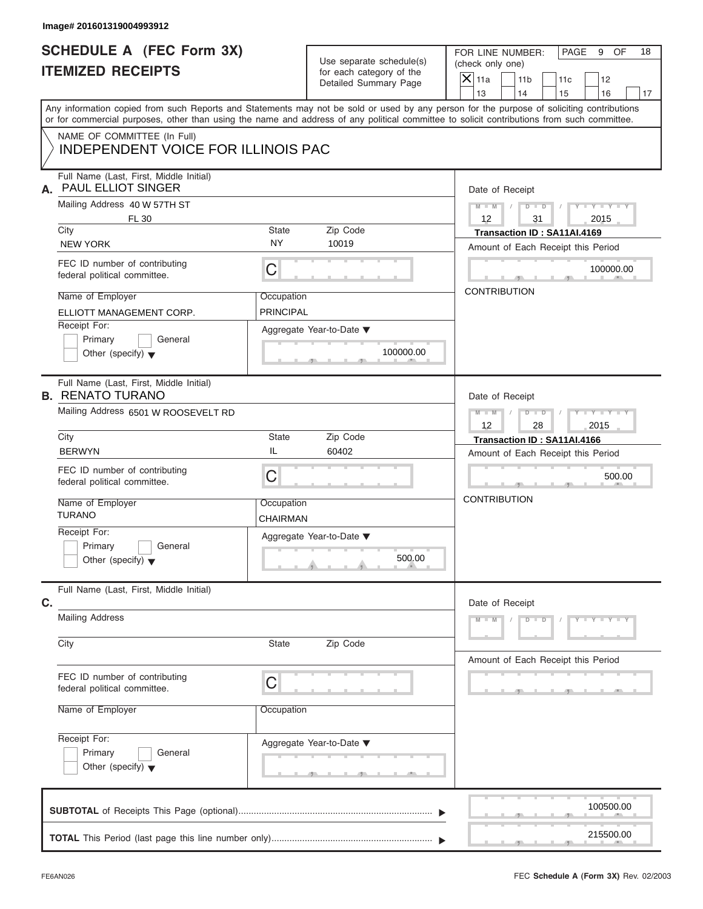# **SCHEDULE A (FEC Form 3X) ITEMIZED RECEIPTS**

FOR LINE NUMBER: PAGE 9 OF<br>(check only one)

| SCHEDULE A (FEC Form 3X)<br><b>ITEMIZED RECEIPTS</b>                                                                                                                                                                                                                                                                                                                |                                                                  | Use separate schedule(s)<br>for each category of the<br>Detailed Summary Page | FOR LINE NUMBER:<br>PAGE<br>9<br>OF<br>18<br>(check only one)<br>$\mathsf{X}$ 11a<br>11 <sub>b</sub><br>12<br>11c                                                                               |
|---------------------------------------------------------------------------------------------------------------------------------------------------------------------------------------------------------------------------------------------------------------------------------------------------------------------------------------------------------------------|------------------------------------------------------------------|-------------------------------------------------------------------------------|-------------------------------------------------------------------------------------------------------------------------------------------------------------------------------------------------|
| Any information copied from such Reports and Statements may not be sold or used by any person for the purpose of soliciting contributions<br>or for commercial purposes, other than using the name and address of any political committee to solicit contributions from such committee.<br>NAME OF COMMITTEE (In Full)<br><b>INDEPENDENT VOICE FOR ILLINOIS PAC</b> |                                                                  |                                                                               | 13<br>14<br>16<br>15<br>17                                                                                                                                                                      |
| Full Name (Last, First, Middle Initial)<br><b>PAUL ELLIOT SINGER</b><br>А.<br>Mailing Address 40 W 57TH ST<br>FL 30<br>City<br><b>NEW YORK</b><br>FEC ID number of contributing<br>federal political committee.<br>Name of Employer<br>ELLIOTT MANAGEMENT CORP.<br>Receipt For:<br>Primary<br>General<br>Other (specify) $\blacktriangledown$                       | <b>State</b><br><b>NY</b><br>С<br>Occupation<br><b>PRINCIPAL</b> | Zip Code<br>10019<br>Aggregate Year-to-Date ▼<br>100000.00                    | Date of Receipt<br>$M - M$<br>$Y - Y - Y$<br>$D$ $D$<br>$\sqrt{2}$<br>12<br>31<br>2015<br>Transaction ID: SA11AI.4169<br>Amount of Each Receipt this Period<br>100000.00<br><b>CONTRIBUTION</b> |
| Full Name (Last, First, Middle Initial)<br><b>B. RENATO TURANO</b><br>Mailing Address 6501 W ROOSEVELT RD<br>City<br><b>BERWYN</b><br>FEC ID number of contributing<br>federal political committee.<br>Name of Employer<br><b>TURANO</b><br>Receipt For:<br>General<br>Primary<br>Other (specify) $\blacktriangledown$                                              | <b>State</b><br>IL<br>C<br>Occupation<br>CHAIRMAN                | Zip Code<br>60402<br>Aggregate Year-to-Date ▼<br>500.00<br>A                  | Date of Receipt<br>$M - M$<br>$D$ $D$<br>$Y - Y - I$<br>2015<br>12<br>28<br>Transaction ID: SA11AI.4166<br>Amount of Each Receipt this Period<br>500.00<br><b>CONTRIBUTION</b>                  |
| Full Name (Last, First, Middle Initial)<br>C.<br><b>Mailing Address</b><br>City<br>FEC ID number of contributing<br>federal political committee.<br>Name of Employer<br>Receipt For:<br>Primary<br>General<br>Other (specify) $\blacktriangledown$                                                                                                                  | <b>State</b><br>C<br>Occupation                                  | Zip Code<br>Aggregate Year-to-Date ▼                                          | Date of Receipt<br>$M - M$<br>$D$ $\Box$ $D$<br>$Y - Y - Y - Y - I$<br>Amount of Each Receipt this Period                                                                                       |
|                                                                                                                                                                                                                                                                                                                                                                     |                                                                  |                                                                               | 100500.00<br>215500.00                                                                                                                                                                          |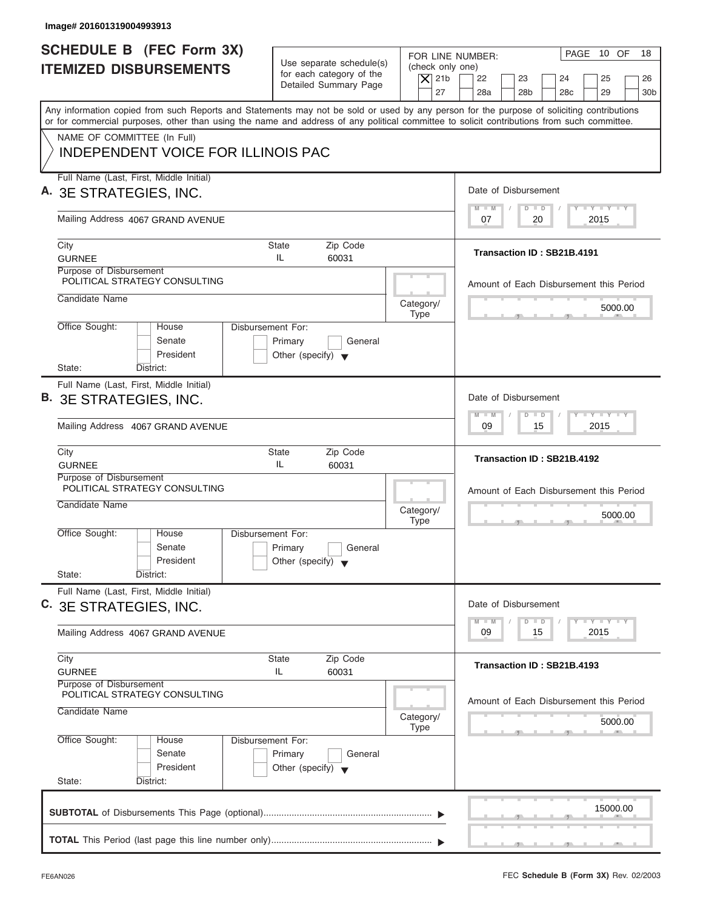| Image# 201601319004993913                                                                                                                                                                                                                                                               |                                                                                 |                                                                                     |                                                                                                  |  |  |  |
|-----------------------------------------------------------------------------------------------------------------------------------------------------------------------------------------------------------------------------------------------------------------------------------------|---------------------------------------------------------------------------------|-------------------------------------------------------------------------------------|--------------------------------------------------------------------------------------------------|--|--|--|
| SCHEDULE B (FEC Form 3X)<br><b>ITEMIZED DISBURSEMENTS</b>                                                                                                                                                                                                                               | Use separate schedule(s)<br>for each category of the                            | FOR LINE NUMBER:<br>(check only one)                                                | PAGE 10 OF<br>18                                                                                 |  |  |  |
|                                                                                                                                                                                                                                                                                         | Detailed Summary Page                                                           | $\overline{X}$ 21b<br>27                                                            | 22<br>23<br>24<br>25<br>26<br>28a<br>28 <sub>b</sub><br>28 <sub>c</sub><br>29<br>30 <sub>b</sub> |  |  |  |
| Any information copied from such Reports and Statements may not be sold or used by any person for the purpose of soliciting contributions<br>or for commercial purposes, other than using the name and address of any political committee to solicit contributions from such committee. |                                                                                 |                                                                                     |                                                                                                  |  |  |  |
| NAME OF COMMITTEE (In Full)                                                                                                                                                                                                                                                             |                                                                                 |                                                                                     |                                                                                                  |  |  |  |
| <b>INDEPENDENT VOICE FOR ILLINOIS PAC</b>                                                                                                                                                                                                                                               |                                                                                 |                                                                                     |                                                                                                  |  |  |  |
| Full Name (Last, First, Middle Initial)<br>A. 3E STRATEGIES, INC.                                                                                                                                                                                                                       |                                                                                 |                                                                                     | Date of Disbursement                                                                             |  |  |  |
| Mailing Address 4067 GRAND AVENUE                                                                                                                                                                                                                                                       |                                                                                 |                                                                                     | $T - Y = T - Y = T - Y$<br>$M - M$<br>$D$ $D$<br>20<br>2015<br>07                                |  |  |  |
| City                                                                                                                                                                                                                                                                                    | <b>State</b><br>Zip Code                                                        |                                                                                     | Transaction ID: SB21B.4191                                                                       |  |  |  |
| <b>GURNEE</b>                                                                                                                                                                                                                                                                           | IL.<br>60031                                                                    |                                                                                     |                                                                                                  |  |  |  |
| Purpose of Disbursement<br>POLITICAL STRATEGY CONSULTING                                                                                                                                                                                                                                |                                                                                 |                                                                                     | Amount of Each Disbursement this Period                                                          |  |  |  |
| Candidate Name                                                                                                                                                                                                                                                                          |                                                                                 | Category/<br><b>Type</b>                                                            | 5000.00                                                                                          |  |  |  |
| Office Sought:<br>House<br>Senate<br>President                                                                                                                                                                                                                                          | Disbursement For:<br>Primary<br>General<br>Other (specify) $\blacktriangledown$ |                                                                                     |                                                                                                  |  |  |  |
| State:<br>District:                                                                                                                                                                                                                                                                     |                                                                                 |                                                                                     |                                                                                                  |  |  |  |
| Full Name (Last, First, Middle Initial)<br>B. 3E STRATEGIES, INC.                                                                                                                                                                                                                       |                                                                                 |                                                                                     | Date of Disbursement                                                                             |  |  |  |
| Mailing Address 4067 GRAND AVENUE                                                                                                                                                                                                                                                       |                                                                                 | $-1 - Y - 1 - Y - 1 - Y$<br>$M - M$<br>$\overline{D}$<br>$\Box$<br>2015<br>09<br>15 |                                                                                                  |  |  |  |
| City<br><b>GURNEE</b>                                                                                                                                                                                                                                                                   |                                                                                 | Transaction ID: SB21B.4192                                                          |                                                                                                  |  |  |  |
| Purpose of Disbursement<br>POLITICAL STRATEGY CONSULTING                                                                                                                                                                                                                                |                                                                                 |                                                                                     |                                                                                                  |  |  |  |
| Candidate Name                                                                                                                                                                                                                                                                          |                                                                                 | Category/                                                                           | Amount of Each Disbursement this Period<br>5000.00                                               |  |  |  |
| Office Sought:<br>House<br>Senate                                                                                                                                                                                                                                                       | Disbursement For:<br>Primary<br>General                                         | <b>Type</b>                                                                         | $-5$                                                                                             |  |  |  |
| President<br>State:<br>District:                                                                                                                                                                                                                                                        | Other (specify) $\blacktriangledown$                                            |                                                                                     |                                                                                                  |  |  |  |
| Full Name (Last, First, Middle Initial)<br>C. 3E STRATEGIES, INC.                                                                                                                                                                                                                       |                                                                                 |                                                                                     | Date of Disbursement                                                                             |  |  |  |
| Mailing Address 4067 GRAND AVENUE                                                                                                                                                                                                                                                       |                                                                                 | $T - Y$ $T - Y$ $T - Y$<br>$M - M$<br>D<br>$\Box$<br>2015<br>09<br>15               |                                                                                                  |  |  |  |
| City<br><b>GURNEE</b>                                                                                                                                                                                                                                                                   | Zip Code<br><b>State</b><br>60031<br>IL                                         |                                                                                     |                                                                                                  |  |  |  |
| Purpose of Disbursement<br>POLITICAL STRATEGY CONSULTING                                                                                                                                                                                                                                |                                                                                 |                                                                                     |                                                                                                  |  |  |  |
| Candidate Name                                                                                                                                                                                                                                                                          | Category/<br><b>Type</b>                                                        | Amount of Each Disbursement this Period<br>5000.00                                  |                                                                                                  |  |  |  |
| Office Sought:<br>House<br>Senate<br>President                                                                                                                                                                                                                                          | Disbursement For:<br>Primary<br>General<br>Other (specify) $\blacktriangledown$ |                                                                                     |                                                                                                  |  |  |  |
| State:<br>District:                                                                                                                                                                                                                                                                     |                                                                                 |                                                                                     |                                                                                                  |  |  |  |
|                                                                                                                                                                                                                                                                                         |                                                                                 |                                                                                     | 15000.00                                                                                         |  |  |  |
|                                                                                                                                                                                                                                                                                         |                                                                                 |                                                                                     |                                                                                                  |  |  |  |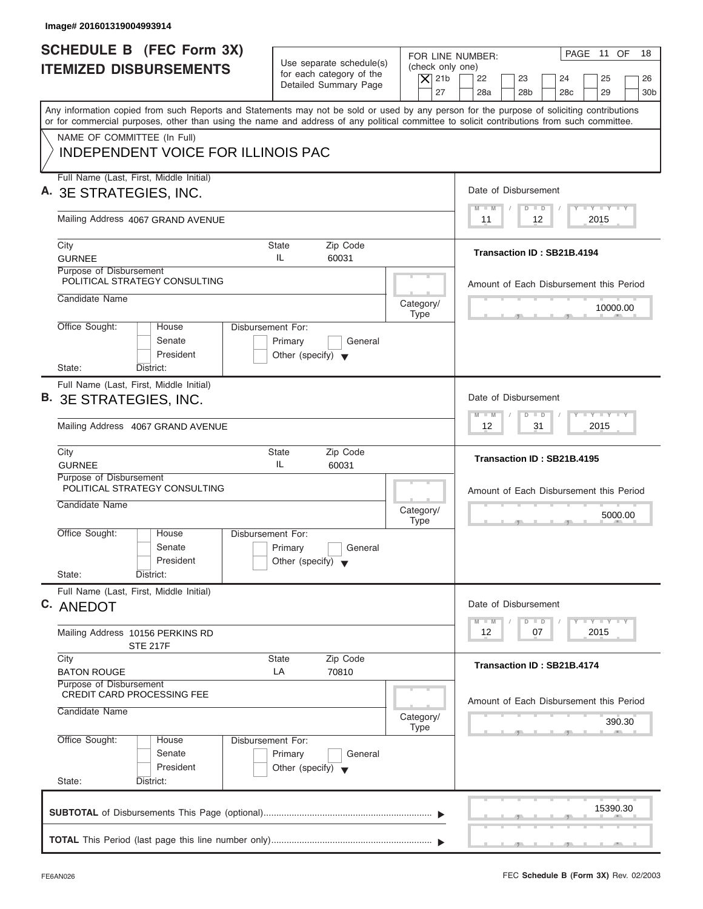| Image# 201601319004993914                                                                                                                                                                                                                                                               |                                                                                                |                                                                                        |
|-----------------------------------------------------------------------------------------------------------------------------------------------------------------------------------------------------------------------------------------------------------------------------------------|------------------------------------------------------------------------------------------------|----------------------------------------------------------------------------------------|
| SCHEDULE B (FEC Form 3X)<br><b>ITEMIZED DISBURSEMENTS</b>                                                                                                                                                                                                                               | Use separate schedule(s)<br>for each category of the<br>$\overline{X}$ 21b                     | PAGE 11 OF<br>18<br>FOR LINE NUMBER:<br>(check only one)<br>22<br>23<br>24<br>25<br>26 |
|                                                                                                                                                                                                                                                                                         | Detailed Summary Page                                                                          | 27<br>28a<br>28 <sub>b</sub><br>28 <sub>c</sub><br>29<br>30 <sub>b</sub>               |
| Any information copied from such Reports and Statements may not be sold or used by any person for the purpose of soliciting contributions<br>or for commercial purposes, other than using the name and address of any political committee to solicit contributions from such committee. |                                                                                                |                                                                                        |
| NAME OF COMMITTEE (In Full)<br><b>INDEPENDENT VOICE FOR ILLINOIS PAC</b>                                                                                                                                                                                                                |                                                                                                |                                                                                        |
| Full Name (Last, First, Middle Initial)<br>A. 3E STRATEGIES, INC.                                                                                                                                                                                                                       |                                                                                                | Date of Disbursement                                                                   |
| Mailing Address 4067 GRAND AVENUE                                                                                                                                                                                                                                                       |                                                                                                | $T - Y = T - Y = T - Y$<br>$M - M$<br>$D$ $D$<br>2015<br>11<br>12                      |
| City<br><b>GURNEE</b>                                                                                                                                                                                                                                                                   | <b>State</b><br>Zip Code<br>IL.<br>60031                                                       | Transaction ID: SB21B.4194                                                             |
| Purpose of Disbursement<br>POLITICAL STRATEGY CONSULTING                                                                                                                                                                                                                                |                                                                                                | Amount of Each Disbursement this Period                                                |
| Candidate Name                                                                                                                                                                                                                                                                          | Category/<br><b>Type</b>                                                                       | 10000.00                                                                               |
| Office Sought:<br>House<br>Senate<br>President                                                                                                                                                                                                                                          | Disbursement For:<br>Primary<br>General<br>Other (specify) $\blacktriangledown$                |                                                                                        |
| State:<br>District:                                                                                                                                                                                                                                                                     |                                                                                                |                                                                                        |
| Full Name (Last, First, Middle Initial)<br>B. 3E STRATEGIES, INC.                                                                                                                                                                                                                       |                                                                                                | Date of Disbursement<br>$-1 - Y - 1 - Y - 1 - Y$                                       |
| Mailing Address 4067 GRAND AVENUE                                                                                                                                                                                                                                                       |                                                                                                | $M - M$<br>$D$ $D$<br>2015<br>12<br>31                                                 |
| City<br><b>GURNEE</b>                                                                                                                                                                                                                                                                   | Zip Code<br><b>State</b><br>IL.<br>60031                                                       | Transaction ID: SB21B.4195                                                             |
| Purpose of Disbursement<br>POLITICAL STRATEGY CONSULTING<br>Candidate Name                                                                                                                                                                                                              | Category/                                                                                      | Amount of Each Disbursement this Period<br>5000.00                                     |
| Office Sought:<br>House<br>Senate<br>President                                                                                                                                                                                                                                          | <b>Type</b><br>Disbursement For:<br>Primary<br>General<br>Other (specify) $\blacktriangledown$ | $-5$                                                                                   |
| State:<br>District:<br>Full Name (Last, First, Middle Initial)<br>C. ANEDOT                                                                                                                                                                                                             |                                                                                                | Date of Disbursement                                                                   |
| Mailing Address 10156 PERKINS RD<br><b>STE 217F</b>                                                                                                                                                                                                                                     |                                                                                                | $T - Y$ $T - Y$ $T - Y$<br>$M - M$<br>$\overline{D}$<br>$\Box$<br>2015<br>12<br>07     |
| City<br><b>BATON ROUGE</b>                                                                                                                                                                                                                                                              | Zip Code<br><b>State</b><br>LA<br>70810                                                        | Transaction ID: SB21B.4174                                                             |
| Purpose of Disbursement<br><b>CREDIT CARD PROCESSING FEE</b><br>Candidate Name                                                                                                                                                                                                          | Category/<br><b>Type</b>                                                                       | Amount of Each Disbursement this Period<br>390.30                                      |
| Office Sought:<br>House<br>Senate<br>President                                                                                                                                                                                                                                          | Disbursement For:<br>Primary<br>General<br>Other (specify) $\blacktriangledown$                |                                                                                        |
| State:<br>District:                                                                                                                                                                                                                                                                     |                                                                                                |                                                                                        |
|                                                                                                                                                                                                                                                                                         |                                                                                                | 15390.30                                                                               |
|                                                                                                                                                                                                                                                                                         |                                                                                                |                                                                                        |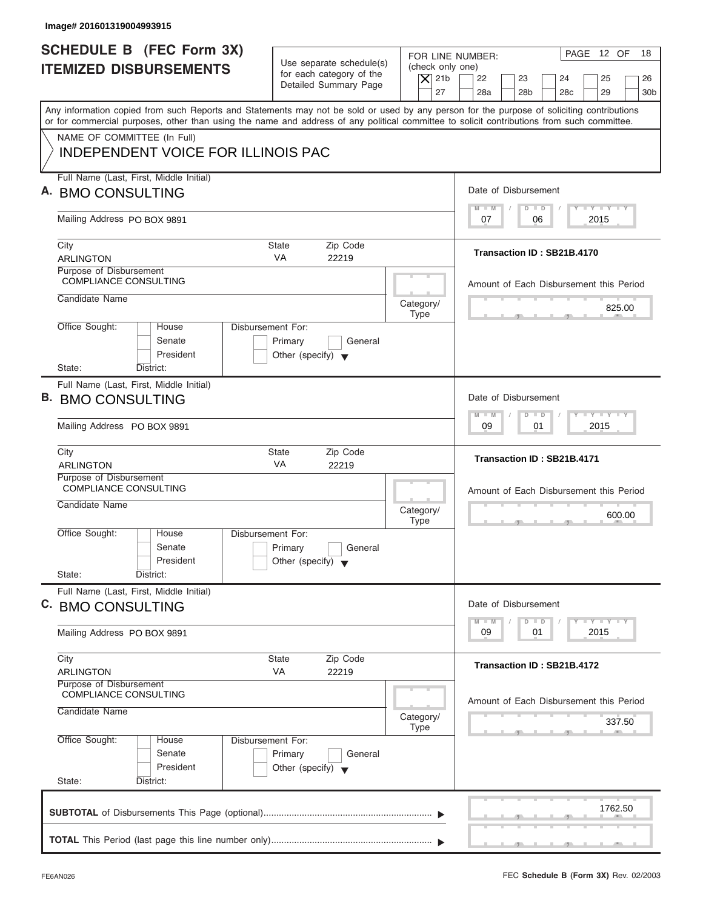| Image# 201601319004993915                                                                                                                                                                                                                                                               |                                                                                 |                                                                  |                                                                                                                      |
|-----------------------------------------------------------------------------------------------------------------------------------------------------------------------------------------------------------------------------------------------------------------------------------------|---------------------------------------------------------------------------------|------------------------------------------------------------------|----------------------------------------------------------------------------------------------------------------------|
| <b>SCHEDULE B (FEC Form 3X)</b><br><b>ITEMIZED DISBURSEMENTS</b>                                                                                                                                                                                                                        | Use separate schedule(s)<br>for each category of the<br>Detailed Summary Page   | FOR LINE NUMBER:<br>(check only one)<br>$ \mathsf{X} $ 21b<br>27 | PAGE 12 OF<br>18<br>22<br>23<br>24<br>25<br>26<br>28a<br>28 <sub>b</sub><br>28 <sub>c</sub><br>29<br>30 <sub>b</sub> |
| Any information copied from such Reports and Statements may not be sold or used by any person for the purpose of soliciting contributions<br>or for commercial purposes, other than using the name and address of any political committee to solicit contributions from such committee. |                                                                                 |                                                                  |                                                                                                                      |
| NAME OF COMMITTEE (In Full)<br><b>INDEPENDENT VOICE FOR ILLINOIS PAC</b>                                                                                                                                                                                                                |                                                                                 |                                                                  |                                                                                                                      |
| Full Name (Last, First, Middle Initial)<br>A. BMO CONSULTING                                                                                                                                                                                                                            |                                                                                 |                                                                  | Date of Disbursement                                                                                                 |
| Mailing Address PO BOX 9891                                                                                                                                                                                                                                                             |                                                                                 |                                                                  | $T - Y = T - Y = T - Y$<br>$D$ $D$<br>$M - M$<br>2015<br>07<br>06                                                    |
| City<br><b>ARLINGTON</b>                                                                                                                                                                                                                                                                | <b>State</b><br>Zip Code<br><b>VA</b><br>22219                                  |                                                                  | Transaction ID: SB21B.4170                                                                                           |
| Purpose of Disbursement<br><b>COMPLIANCE CONSULTING</b>                                                                                                                                                                                                                                 |                                                                                 |                                                                  | Amount of Each Disbursement this Period                                                                              |
| Candidate Name                                                                                                                                                                                                                                                                          |                                                                                 | Category/<br><b>Type</b>                                         | 825.00                                                                                                               |
| Office Sought:<br>House<br>Senate<br>President<br>State:                                                                                                                                                                                                                                | Disbursement For:<br>Primary<br>General<br>Other (specify) $\blacktriangledown$ |                                                                  |                                                                                                                      |
| District:<br>Full Name (Last, First, Middle Initial)                                                                                                                                                                                                                                    |                                                                                 |                                                                  | Date of Disbursement                                                                                                 |
| B. BMO CONSULTING                                                                                                                                                                                                                                                                       |                                                                                 |                                                                  | $-1 - Y - 1 - Y - 1 - Y$<br>$M - M$<br>$D$ $D$                                                                       |
| Mailing Address PO BOX 9891                                                                                                                                                                                                                                                             |                                                                                 |                                                                  | 2015<br>09<br>01                                                                                                     |
| City<br><b>ARLINGTON</b>                                                                                                                                                                                                                                                                | Zip Code<br>State<br>VA<br>22219                                                |                                                                  | Transaction ID: SB21B.4171                                                                                           |
| Purpose of Disbursement<br><b>COMPLIANCE CONSULTING</b><br>Candidate Name                                                                                                                                                                                                               |                                                                                 | Category/<br><b>Type</b>                                         | Amount of Each Disbursement this Period<br>600.00                                                                    |
| Office Sought:<br>House<br>Senate<br>President<br>State:<br>District:                                                                                                                                                                                                                   | Disbursement For:<br>Primary<br>General<br>Other (specify) $\blacktriangledown$ |                                                                  | $\sim$                                                                                                               |
| Full Name (Last, First, Middle Initial)<br>C. BMO CONSULTING                                                                                                                                                                                                                            |                                                                                 |                                                                  | Date of Disbursement                                                                                                 |
| Mailing Address PO BOX 9891                                                                                                                                                                                                                                                             |                                                                                 |                                                                  | $T - Y$ $T - Y$ $T - Y$<br>$M - M$<br>D<br>$\Box$<br>2015<br>09<br>01                                                |
| City<br><b>ARLINGTON</b>                                                                                                                                                                                                                                                                | Zip Code<br><b>State</b><br>VA<br>22219                                         |                                                                  | Transaction ID: SB21B.4172                                                                                           |
| Purpose of Disbursement<br><b>COMPLIANCE CONSULTING</b><br>Candidate Name                                                                                                                                                                                                               |                                                                                 | Category/<br><b>Type</b>                                         | Amount of Each Disbursement this Period<br>337.50                                                                    |
| Office Sought:<br>House<br>Senate<br>President                                                                                                                                                                                                                                          | Disbursement For:<br>Primary<br>General<br>Other (specify) $\blacktriangledown$ |                                                                  |                                                                                                                      |
| State:<br>District:                                                                                                                                                                                                                                                                     |                                                                                 |                                                                  | 1762.50                                                                                                              |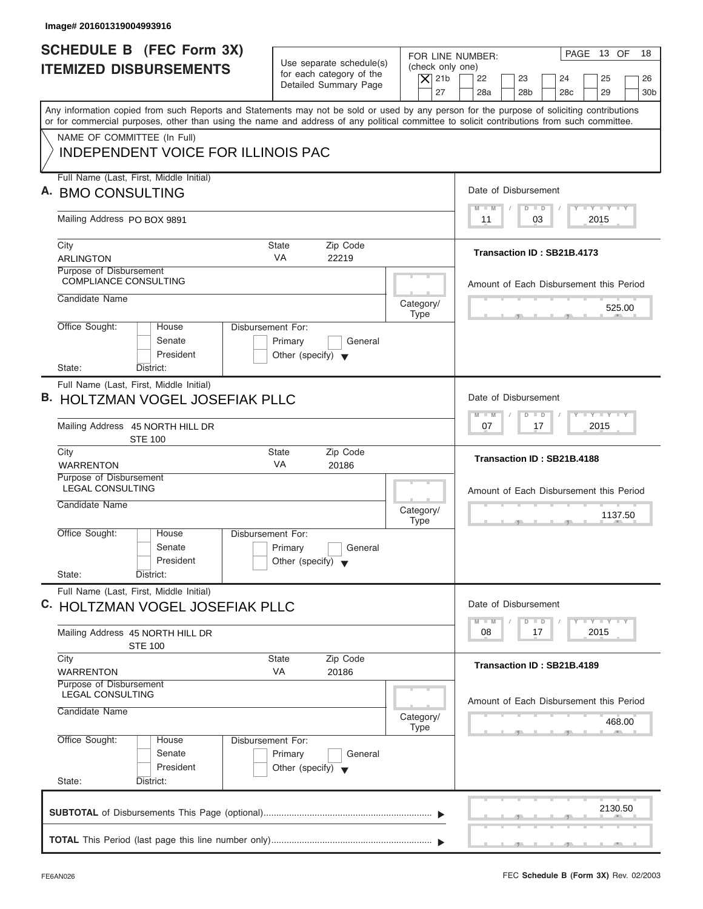| PAGE 13 OF<br>FOR LINE NUMBER:<br>Use separate schedule(s)<br>(check only one)<br><b>ITEMIZED DISBURSEMENTS</b><br>for each category of the<br>$ \mathsf{X} $ 21b<br>22<br>23<br>24<br>25<br>Detailed Summary Page<br>27<br>28a<br>28 <sub>b</sub><br>28 <sub>c</sub><br>29<br>Any information copied from such Reports and Statements may not be sold or used by any person for the purpose of soliciting contributions<br>or for commercial purposes, other than using the name and address of any political committee to solicit contributions from such committee.<br>NAME OF COMMITTEE (In Full)<br><b>INDEPENDENT VOICE FOR ILLINOIS PAC</b><br>Full Name (Last, First, Middle Initial)<br>Date of Disbursement<br>$T - Y = T - Y = T - Y$<br>$M - M$<br>$D$ $D$<br>Mailing Address PO BOX 9891<br>03<br>2015<br>11<br>City<br><b>State</b><br>Zip Code<br>Transaction ID: SB21B.4173<br><b>VA</b><br><b>ARLINGTON</b><br>22219<br>Purpose of Disbursement<br><b>COMPLIANCE CONSULTING</b><br>Amount of Each Disbursement this Period<br>Candidate Name<br>Category/<br>525.00<br><b>Type</b><br>Office Sought:<br>Disbursement For:<br>House<br>Senate<br>Primary<br>General<br>President<br>Other (specify) $\blacktriangledown$<br>State:<br>District:<br>Full Name (Last, First, Middle Initial)<br>Date of Disbursement<br>$-1 - Y - 1 - Y - 1 - Y$<br>$M - M$<br>$D$ $D$<br>Mailing Address 45 NORTH HILL DR<br>2015<br>07<br>17<br><b>STE 100</b><br>Zip Code<br>City<br>State<br>Transaction ID: SB21B.4188<br>VA<br><b>WARRENTON</b><br>20186<br>Purpose of Disbursement<br><b>LEGAL CONSULTING</b><br>Amount of Each Disbursement this Period<br>Candidate Name<br>Category/<br>1137.50<br><b>Type</b><br>$\sim$<br>Office Sought:<br>House<br>Disbursement For:<br>Senate<br>Primary<br>General<br>President<br>Other (specify) $\blacktriangledown$<br>State:<br>District:<br>Full Name (Last, First, Middle Initial)<br>Date of Disbursement<br>$T - Y = T - Y$<br>$M - M$<br>$\overline{D}$<br>$\Box$<br>2015<br>08<br>17<br>Mailing Address 45 NORTH HILL DR<br><b>STE 100</b><br>Zip Code<br>City<br><b>State</b><br>Transaction ID: SB21B.4189<br>VA<br>20186<br><b>WARRENTON</b><br>Purpose of Disbursement<br><b>LEGAL CONSULTING</b><br>Amount of Each Disbursement this Period<br>Candidate Name<br>Category/<br>468.00<br><b>Type</b><br>Office Sought:<br>Disbursement For:<br>House<br>Senate<br>Primary<br>General<br>President<br>Other (specify) $\blacktriangledown$<br>State:<br>District:<br>2130.50 | Image# 201601319004993916       |                             |
|------------------------------------------------------------------------------------------------------------------------------------------------------------------------------------------------------------------------------------------------------------------------------------------------------------------------------------------------------------------------------------------------------------------------------------------------------------------------------------------------------------------------------------------------------------------------------------------------------------------------------------------------------------------------------------------------------------------------------------------------------------------------------------------------------------------------------------------------------------------------------------------------------------------------------------------------------------------------------------------------------------------------------------------------------------------------------------------------------------------------------------------------------------------------------------------------------------------------------------------------------------------------------------------------------------------------------------------------------------------------------------------------------------------------------------------------------------------------------------------------------------------------------------------------------------------------------------------------------------------------------------------------------------------------------------------------------------------------------------------------------------------------------------------------------------------------------------------------------------------------------------------------------------------------------------------------------------------------------------------------------------------------------------------------------------------------------------------------------------------------------------------------------------------------------------------------------------------------------------------------------------------------------------------------------------------------------------------------------------------------------------------------------------------------------------------------------------------------------------------------------------------------------------------|---------------------------------|-----------------------------|
| A. BMO CONSULTING<br><b>B. HOLTZMAN VOGEL JOSEFIAK PLLC</b><br><b>C. HOLTZMAN VOGEL JOSEFIAK PLLC</b>                                                                                                                                                                                                                                                                                                                                                                                                                                                                                                                                                                                                                                                                                                                                                                                                                                                                                                                                                                                                                                                                                                                                                                                                                                                                                                                                                                                                                                                                                                                                                                                                                                                                                                                                                                                                                                                                                                                                                                                                                                                                                                                                                                                                                                                                                                                                                                                                                                    | <b>SCHEDULE B (FEC Form 3X)</b> | 18<br>26<br>30 <sub>b</sub> |
|                                                                                                                                                                                                                                                                                                                                                                                                                                                                                                                                                                                                                                                                                                                                                                                                                                                                                                                                                                                                                                                                                                                                                                                                                                                                                                                                                                                                                                                                                                                                                                                                                                                                                                                                                                                                                                                                                                                                                                                                                                                                                                                                                                                                                                                                                                                                                                                                                                                                                                                                          |                                 |                             |
|                                                                                                                                                                                                                                                                                                                                                                                                                                                                                                                                                                                                                                                                                                                                                                                                                                                                                                                                                                                                                                                                                                                                                                                                                                                                                                                                                                                                                                                                                                                                                                                                                                                                                                                                                                                                                                                                                                                                                                                                                                                                                                                                                                                                                                                                                                                                                                                                                                                                                                                                          |                                 |                             |
|                                                                                                                                                                                                                                                                                                                                                                                                                                                                                                                                                                                                                                                                                                                                                                                                                                                                                                                                                                                                                                                                                                                                                                                                                                                                                                                                                                                                                                                                                                                                                                                                                                                                                                                                                                                                                                                                                                                                                                                                                                                                                                                                                                                                                                                                                                                                                                                                                                                                                                                                          |                                 |                             |
|                                                                                                                                                                                                                                                                                                                                                                                                                                                                                                                                                                                                                                                                                                                                                                                                                                                                                                                                                                                                                                                                                                                                                                                                                                                                                                                                                                                                                                                                                                                                                                                                                                                                                                                                                                                                                                                                                                                                                                                                                                                                                                                                                                                                                                                                                                                                                                                                                                                                                                                                          |                                 |                             |
|                                                                                                                                                                                                                                                                                                                                                                                                                                                                                                                                                                                                                                                                                                                                                                                                                                                                                                                                                                                                                                                                                                                                                                                                                                                                                                                                                                                                                                                                                                                                                                                                                                                                                                                                                                                                                                                                                                                                                                                                                                                                                                                                                                                                                                                                                                                                                                                                                                                                                                                                          |                                 |                             |
|                                                                                                                                                                                                                                                                                                                                                                                                                                                                                                                                                                                                                                                                                                                                                                                                                                                                                                                                                                                                                                                                                                                                                                                                                                                                                                                                                                                                                                                                                                                                                                                                                                                                                                                                                                                                                                                                                                                                                                                                                                                                                                                                                                                                                                                                                                                                                                                                                                                                                                                                          |                                 |                             |
|                                                                                                                                                                                                                                                                                                                                                                                                                                                                                                                                                                                                                                                                                                                                                                                                                                                                                                                                                                                                                                                                                                                                                                                                                                                                                                                                                                                                                                                                                                                                                                                                                                                                                                                                                                                                                                                                                                                                                                                                                                                                                                                                                                                                                                                                                                                                                                                                                                                                                                                                          |                                 |                             |
|                                                                                                                                                                                                                                                                                                                                                                                                                                                                                                                                                                                                                                                                                                                                                                                                                                                                                                                                                                                                                                                                                                                                                                                                                                                                                                                                                                                                                                                                                                                                                                                                                                                                                                                                                                                                                                                                                                                                                                                                                                                                                                                                                                                                                                                                                                                                                                                                                                                                                                                                          |                                 |                             |
|                                                                                                                                                                                                                                                                                                                                                                                                                                                                                                                                                                                                                                                                                                                                                                                                                                                                                                                                                                                                                                                                                                                                                                                                                                                                                                                                                                                                                                                                                                                                                                                                                                                                                                                                                                                                                                                                                                                                                                                                                                                                                                                                                                                                                                                                                                                                                                                                                                                                                                                                          |                                 |                             |
|                                                                                                                                                                                                                                                                                                                                                                                                                                                                                                                                                                                                                                                                                                                                                                                                                                                                                                                                                                                                                                                                                                                                                                                                                                                                                                                                                                                                                                                                                                                                                                                                                                                                                                                                                                                                                                                                                                                                                                                                                                                                                                                                                                                                                                                                                                                                                                                                                                                                                                                                          |                                 |                             |
|                                                                                                                                                                                                                                                                                                                                                                                                                                                                                                                                                                                                                                                                                                                                                                                                                                                                                                                                                                                                                                                                                                                                                                                                                                                                                                                                                                                                                                                                                                                                                                                                                                                                                                                                                                                                                                                                                                                                                                                                                                                                                                                                                                                                                                                                                                                                                                                                                                                                                                                                          |                                 |                             |
|                                                                                                                                                                                                                                                                                                                                                                                                                                                                                                                                                                                                                                                                                                                                                                                                                                                                                                                                                                                                                                                                                                                                                                                                                                                                                                                                                                                                                                                                                                                                                                                                                                                                                                                                                                                                                                                                                                                                                                                                                                                                                                                                                                                                                                                                                                                                                                                                                                                                                                                                          |                                 |                             |
|                                                                                                                                                                                                                                                                                                                                                                                                                                                                                                                                                                                                                                                                                                                                                                                                                                                                                                                                                                                                                                                                                                                                                                                                                                                                                                                                                                                                                                                                                                                                                                                                                                                                                                                                                                                                                                                                                                                                                                                                                                                                                                                                                                                                                                                                                                                                                                                                                                                                                                                                          |                                 |                             |
|                                                                                                                                                                                                                                                                                                                                                                                                                                                                                                                                                                                                                                                                                                                                                                                                                                                                                                                                                                                                                                                                                                                                                                                                                                                                                                                                                                                                                                                                                                                                                                                                                                                                                                                                                                                                                                                                                                                                                                                                                                                                                                                                                                                                                                                                                                                                                                                                                                                                                                                                          |                                 |                             |
|                                                                                                                                                                                                                                                                                                                                                                                                                                                                                                                                                                                                                                                                                                                                                                                                                                                                                                                                                                                                                                                                                                                                                                                                                                                                                                                                                                                                                                                                                                                                                                                                                                                                                                                                                                                                                                                                                                                                                                                                                                                                                                                                                                                                                                                                                                                                                                                                                                                                                                                                          |                                 |                             |
|                                                                                                                                                                                                                                                                                                                                                                                                                                                                                                                                                                                                                                                                                                                                                                                                                                                                                                                                                                                                                                                                                                                                                                                                                                                                                                                                                                                                                                                                                                                                                                                                                                                                                                                                                                                                                                                                                                                                                                                                                                                                                                                                                                                                                                                                                                                                                                                                                                                                                                                                          |                                 |                             |
|                                                                                                                                                                                                                                                                                                                                                                                                                                                                                                                                                                                                                                                                                                                                                                                                                                                                                                                                                                                                                                                                                                                                                                                                                                                                                                                                                                                                                                                                                                                                                                                                                                                                                                                                                                                                                                                                                                                                                                                                                                                                                                                                                                                                                                                                                                                                                                                                                                                                                                                                          |                                 |                             |
|                                                                                                                                                                                                                                                                                                                                                                                                                                                                                                                                                                                                                                                                                                                                                                                                                                                                                                                                                                                                                                                                                                                                                                                                                                                                                                                                                                                                                                                                                                                                                                                                                                                                                                                                                                                                                                                                                                                                                                                                                                                                                                                                                                                                                                                                                                                                                                                                                                                                                                                                          |                                 |                             |
|                                                                                                                                                                                                                                                                                                                                                                                                                                                                                                                                                                                                                                                                                                                                                                                                                                                                                                                                                                                                                                                                                                                                                                                                                                                                                                                                                                                                                                                                                                                                                                                                                                                                                                                                                                                                                                                                                                                                                                                                                                                                                                                                                                                                                                                                                                                                                                                                                                                                                                                                          |                                 |                             |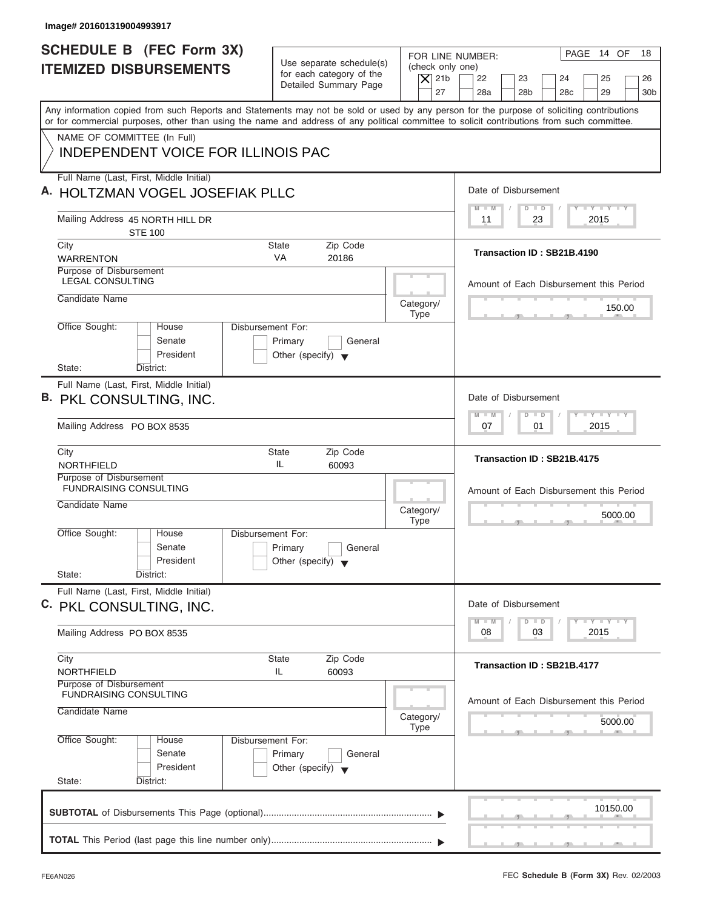| Image# 201601319004993917                                                                                                                                                                                                                                                               |                                                                                                           |                                                                                                                                                              |
|-----------------------------------------------------------------------------------------------------------------------------------------------------------------------------------------------------------------------------------------------------------------------------------------|-----------------------------------------------------------------------------------------------------------|--------------------------------------------------------------------------------------------------------------------------------------------------------------|
| SCHEDULE B (FEC Form 3X)<br><b>ITEMIZED DISBURSEMENTS</b>                                                                                                                                                                                                                               | Use separate schedule(s)<br>for each category of the<br>$\overline{X}$ 21b<br>Detailed Summary Page<br>27 | PAGE 14 OF<br>18<br>FOR LINE NUMBER:<br>(check only one)<br>22<br>23<br>24<br>25<br>26<br>28a<br>28 <sub>b</sub><br>28 <sub>c</sub><br>29<br>30 <sub>b</sub> |
| Any information copied from such Reports and Statements may not be sold or used by any person for the purpose of soliciting contributions<br>or for commercial purposes, other than using the name and address of any political committee to solicit contributions from such committee. |                                                                                                           |                                                                                                                                                              |
| NAME OF COMMITTEE (In Full)<br><b>INDEPENDENT VOICE FOR ILLINOIS PAC</b>                                                                                                                                                                                                                |                                                                                                           |                                                                                                                                                              |
| Full Name (Last, First, Middle Initial)<br>A. HOLTZMAN VOGEL JOSEFIAK PLLC                                                                                                                                                                                                              |                                                                                                           | Date of Disbursement                                                                                                                                         |
| Mailing Address 45 NORTH HILL DR<br><b>STE 100</b>                                                                                                                                                                                                                                      |                                                                                                           | $\mathbf{I} = \mathbf{Y} - \mathbf{I} - \mathbf{Y} - \mathbf{I} - \mathbf{Y}$<br>$D$ $D$<br>$M - M$<br>2015<br>11<br>23                                      |
| City<br><b>WARRENTON</b>                                                                                                                                                                                                                                                                | Zip Code<br><b>State</b><br><b>VA</b><br>20186                                                            | Transaction ID: SB21B.4190                                                                                                                                   |
| Purpose of Disbursement<br><b>LEGAL CONSULTING</b>                                                                                                                                                                                                                                      |                                                                                                           | Amount of Each Disbursement this Period                                                                                                                      |
| Candidate Name                                                                                                                                                                                                                                                                          | Category/<br><b>Type</b>                                                                                  | 150.00                                                                                                                                                       |
| Office Sought:<br>House<br>Senate<br>President<br>State:<br>District:                                                                                                                                                                                                                   | Disbursement For:<br>Primary<br>General<br>Other (specify) $\blacktriangledown$                           |                                                                                                                                                              |
| Full Name (Last, First, Middle Initial)<br>B. PKL CONSULTING, INC.                                                                                                                                                                                                                      |                                                                                                           | Date of Disbursement                                                                                                                                         |
| Mailing Address PO BOX 8535                                                                                                                                                                                                                                                             |                                                                                                           | $-1 - Y - 1 - Y - 1 - Y$<br>$M - M$<br>$\Box$<br>$\overline{D}$<br>07<br>2015<br>01                                                                          |
| City<br><b>NORTHFIELD</b>                                                                                                                                                                                                                                                               | Zip Code<br>State<br>IL<br>60093                                                                          | Transaction ID: SB21B.4175                                                                                                                                   |
| Purpose of Disbursement<br><b>FUNDRAISING CONSULTING</b>                                                                                                                                                                                                                                |                                                                                                           | Amount of Each Disbursement this Period                                                                                                                      |
| Candidate Name                                                                                                                                                                                                                                                                          | Category/<br><b>Type</b>                                                                                  | 5000.00<br>$-7$                                                                                                                                              |
| Office Sought:<br>House<br>Senate<br>President<br>State:                                                                                                                                                                                                                                | Disbursement For:<br>Primary<br>General<br>Other (specify) $\blacktriangledown$                           |                                                                                                                                                              |
| District:<br>Full Name (Last, First, Middle Initial)<br>C. PKL CONSULTING, INC.                                                                                                                                                                                                         |                                                                                                           | Date of Disbursement                                                                                                                                         |
| Mailing Address PO BOX 8535                                                                                                                                                                                                                                                             |                                                                                                           | $\Box$ $\Upsilon$ $\Box$ $\Upsilon$ $\Box$ $\Upsilon$<br>$M - M$<br>$\overline{D}$<br>$\Box$<br>08<br>03<br>2015                                             |
| City<br><b>NORTHFIELD</b>                                                                                                                                                                                                                                                               | Zip Code<br><b>State</b><br>IL<br>60093                                                                   | Transaction ID: SB21B.4177                                                                                                                                   |
| Purpose of Disbursement<br>FUNDRAISING CONSULTING<br>Candidate Name                                                                                                                                                                                                                     | Category/                                                                                                 | Amount of Each Disbursement this Period<br>5000.00                                                                                                           |
| Office Sought:<br>House<br>Senate<br>President<br>State:<br>District:                                                                                                                                                                                                                   | <b>Type</b><br>Disbursement For:<br>Primary<br>General<br>Other (specify) $\blacktriangledown$            |                                                                                                                                                              |
|                                                                                                                                                                                                                                                                                         |                                                                                                           | 10150.00                                                                                                                                                     |
|                                                                                                                                                                                                                                                                                         |                                                                                                           |                                                                                                                                                              |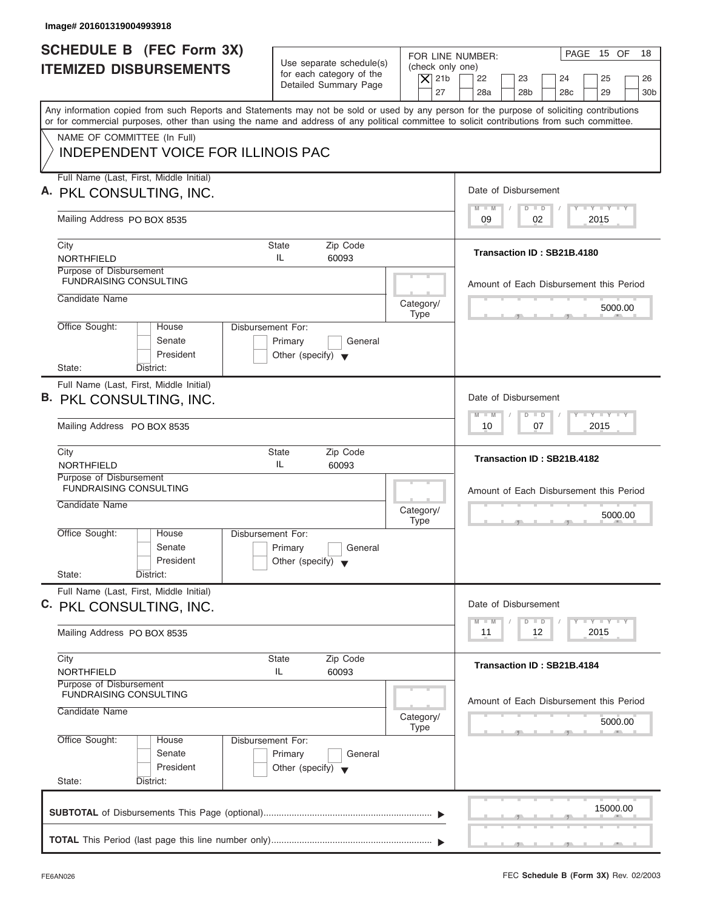| Image# 201601319004993918                                                |                                                      |                                                                                                                                                                                                                                                                                         |
|--------------------------------------------------------------------------|------------------------------------------------------|-----------------------------------------------------------------------------------------------------------------------------------------------------------------------------------------------------------------------------------------------------------------------------------------|
| <b>SCHEDULE B (FEC Form 3X)</b><br><b>ITEMIZED DISBURSEMENTS</b>         | Use separate schedule(s)<br>for each category of the | PAGE 15 OF<br>18<br>FOR LINE NUMBER:<br>(check only one)<br>$ \mathsf{X} $ 21b<br>22<br>23<br>24<br>25<br>26                                                                                                                                                                            |
|                                                                          | Detailed Summary Page                                | 27<br>28a<br>28 <sub>b</sub><br>28 <sub>c</sub><br>29<br>30 <sub>b</sub>                                                                                                                                                                                                                |
|                                                                          |                                                      | Any information copied from such Reports and Statements may not be sold or used by any person for the purpose of soliciting contributions<br>or for commercial purposes, other than using the name and address of any political committee to solicit contributions from such committee. |
| NAME OF COMMITTEE (In Full)<br><b>INDEPENDENT VOICE FOR ILLINOIS PAC</b> |                                                      |                                                                                                                                                                                                                                                                                         |
|                                                                          |                                                      |                                                                                                                                                                                                                                                                                         |
| Full Name (Last, First, Middle Initial)                                  |                                                      | Date of Disbursement                                                                                                                                                                                                                                                                    |
| A. PKL CONSULTING, INC.                                                  |                                                      | $T - Y = T - Y = T - Y$<br>$M - M$<br>$D$ $D$                                                                                                                                                                                                                                           |
| Mailing Address PO BOX 8535                                              |                                                      | 02<br>2015<br>09                                                                                                                                                                                                                                                                        |
| City                                                                     | <b>State</b><br>Zip Code                             | Transaction ID: SB21B.4180                                                                                                                                                                                                                                                              |
| NORTHFIELD<br>Purpose of Disbursement                                    | IL<br>60093                                          |                                                                                                                                                                                                                                                                                         |
| <b>FUNDRAISING CONSULTING</b>                                            |                                                      | Amount of Each Disbursement this Period                                                                                                                                                                                                                                                 |
| Candidate Name                                                           |                                                      | Category/<br>5000.00                                                                                                                                                                                                                                                                    |
| Office Sought:<br>House                                                  | <b>Disbursement For:</b>                             | <b>Type</b>                                                                                                                                                                                                                                                                             |
| Senate                                                                   | Primary<br>General                                   |                                                                                                                                                                                                                                                                                         |
| President<br>State:<br>District:                                         | Other (specify) $\blacktriangledown$                 |                                                                                                                                                                                                                                                                                         |
| Full Name (Last, First, Middle Initial)                                  |                                                      |                                                                                                                                                                                                                                                                                         |
| B. PKL CONSULTING, INC.                                                  |                                                      | Date of Disbursement                                                                                                                                                                                                                                                                    |
| Mailing Address PO BOX 8535                                              |                                                      | $-1 - Y - 1 - Y - 1 - Y$<br>$M - M$<br>$D$ $D$<br>07<br>2015<br>10                                                                                                                                                                                                                      |
|                                                                          |                                                      |                                                                                                                                                                                                                                                                                         |
| City<br><b>NORTHFIELD</b>                                                | Zip Code<br><b>State</b><br>IL<br>60093              | Transaction ID: SB21B.4182                                                                                                                                                                                                                                                              |
| Purpose of Disbursement<br><b>FUNDRAISING CONSULTING</b>                 |                                                      | Amount of Each Disbursement this Period                                                                                                                                                                                                                                                 |
| Candidate Name                                                           |                                                      |                                                                                                                                                                                                                                                                                         |
|                                                                          |                                                      | Category/<br>5000.00<br><b>Type</b><br>$-5$                                                                                                                                                                                                                                             |
| Office Sought:<br>House<br>Senate                                        | Disbursement For:<br>Primary<br>General              |                                                                                                                                                                                                                                                                                         |
| President                                                                | Other (specify) $\blacktriangledown$                 |                                                                                                                                                                                                                                                                                         |
| State:<br>District:                                                      |                                                      |                                                                                                                                                                                                                                                                                         |
| Full Name (Last, First, Middle Initial)                                  |                                                      | Date of Disbursement                                                                                                                                                                                                                                                                    |
| C. PKL CONSULTING, INC.                                                  |                                                      | $T - Y$ $T - Y$ $T - Y$<br>$M - M$<br>$\overline{D}$<br>$\Box$                                                                                                                                                                                                                          |
| Mailing Address PO BOX 8535                                              |                                                      | 2015<br>12<br>11                                                                                                                                                                                                                                                                        |
| City                                                                     | Zip Code<br><b>State</b>                             | Transaction ID: SB21B.4184                                                                                                                                                                                                                                                              |
| <b>NORTHFIELD</b><br>Purpose of Disbursement                             | IL<br>60093                                          |                                                                                                                                                                                                                                                                                         |
| <b>FUNDRAISING CONSULTING</b>                                            |                                                      | Amount of Each Disbursement this Period                                                                                                                                                                                                                                                 |
| Candidate Name                                                           |                                                      | Category/<br>5000.00                                                                                                                                                                                                                                                                    |
| Office Sought:<br>House                                                  | Disbursement For:                                    | <b>Type</b>                                                                                                                                                                                                                                                                             |
| Senate                                                                   | Primary<br>General                                   |                                                                                                                                                                                                                                                                                         |
| President                                                                | Other (specify) $\blacktriangledown$                 |                                                                                                                                                                                                                                                                                         |
| State:<br>District:                                                      |                                                      |                                                                                                                                                                                                                                                                                         |
|                                                                          |                                                      | 15000.00                                                                                                                                                                                                                                                                                |
|                                                                          |                                                      |                                                                                                                                                                                                                                                                                         |
|                                                                          |                                                      |                                                                                                                                                                                                                                                                                         |

ı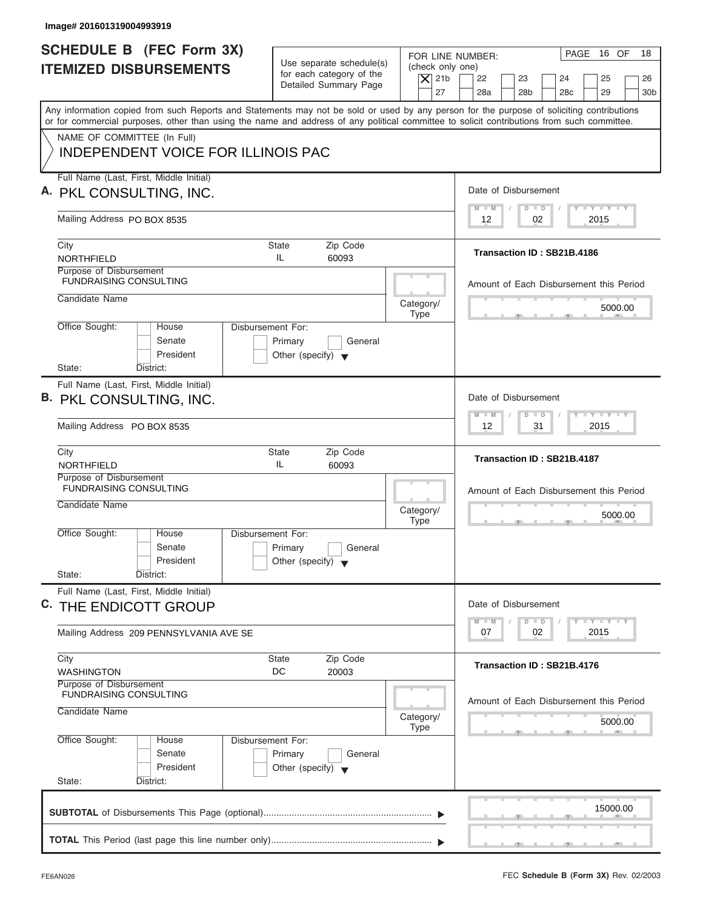| Image# 201601319004993919                                                                                                                                                                                                                                                               |                                                                                 |                                                            |                                                 |                                             |
|-----------------------------------------------------------------------------------------------------------------------------------------------------------------------------------------------------------------------------------------------------------------------------------------|---------------------------------------------------------------------------------|------------------------------------------------------------|-------------------------------------------------|---------------------------------------------|
| <b>SCHEDULE B (FEC Form 3X)</b><br><b>ITEMIZED DISBURSEMENTS</b>                                                                                                                                                                                                                        | Use separate schedule(s)<br>for each category of the<br>Detailed Summary Page   | FOR LINE NUMBER:<br>(check only one)<br>$ \mathsf{X} $ 21b | 22<br>23                                        | PAGE 16 OF<br>18<br>24<br>25<br>26          |
| Any information copied from such Reports and Statements may not be sold or used by any person for the purpose of soliciting contributions<br>or for commercial purposes, other than using the name and address of any political committee to solicit contributions from such committee. |                                                                                 | 27                                                         | 28a<br>28 <sub>b</sub>                          | 28 <sub>c</sub><br>29<br>30 <sub>b</sub>    |
| NAME OF COMMITTEE (In Full)<br><b>INDEPENDENT VOICE FOR ILLINOIS PAC</b>                                                                                                                                                                                                                |                                                                                 |                                                            |                                                 |                                             |
| Full Name (Last, First, Middle Initial)<br>A. PKL CONSULTING, INC.                                                                                                                                                                                                                      |                                                                                 |                                                            | Date of Disbursement                            |                                             |
| Mailing Address PO BOX 8535                                                                                                                                                                                                                                                             |                                                                                 |                                                            | $M - M$<br>$D$ $D$<br>02<br>12                  | $T - Y = T - Y = T - Y$<br>2015             |
| City<br>NORTHFIELD                                                                                                                                                                                                                                                                      | <b>State</b><br>Zip Code<br>IL<br>60093                                         |                                                            | Transaction ID: SB21B.4186                      |                                             |
| Purpose of Disbursement<br><b>FUNDRAISING CONSULTING</b><br>Candidate Name                                                                                                                                                                                                              |                                                                                 |                                                            | Amount of Each Disbursement this Period         |                                             |
| Office Sought:<br>House                                                                                                                                                                                                                                                                 | <b>Disbursement For:</b>                                                        | Category/<br><b>Type</b>                                   |                                                 | 5000.00                                     |
| Senate<br>President<br>State:<br>District:                                                                                                                                                                                                                                              | Primary<br>General<br>Other (specify) $\blacktriangledown$                      |                                                            |                                                 |                                             |
| Full Name (Last, First, Middle Initial)<br>B. PKL CONSULTING, INC.                                                                                                                                                                                                                      |                                                                                 |                                                            | Date of Disbursement                            |                                             |
| Mailing Address PO BOX 8535                                                                                                                                                                                                                                                             |                                                                                 |                                                            | $M - M$<br>$D$ $D$<br>12<br>31                  | $-1 - Y - 1 - Y - 1 - Y$<br>2015            |
| City<br><b>NORTHFIELD</b>                                                                                                                                                                                                                                                               | Zip Code<br><b>State</b><br>IL<br>60093                                         |                                                            | Transaction ID: SB21B.4187                      |                                             |
| Purpose of Disbursement<br><b>FUNDRAISING CONSULTING</b><br>Candidate Name                                                                                                                                                                                                              |                                                                                 | Category/<br><b>Type</b>                                   | Amount of Each Disbursement this Period         | 5000.00                                     |
| Office Sought:<br>House<br>Senate<br>President                                                                                                                                                                                                                                          | Disbursement For:<br>Primary<br>General<br>Other (specify) $\blacktriangledown$ |                                                            |                                                 | $-5$                                        |
| State:<br>District:<br>Full Name (Last, First, Middle Initial)<br>C. THE ENDICOTT GROUP                                                                                                                                                                                                 |                                                                                 |                                                            | Date of Disbursement                            |                                             |
| Mailing Address 209 PENNSYLVANIA AVE SE                                                                                                                                                                                                                                                 |                                                                                 |                                                            | $M - M$<br>$\overline{D}$<br>$\Box$<br>07<br>02 | $T$ $T$ $T$ $T$ $T$ $T$ $T$ $T$ $T$<br>2015 |
| City<br><b>WASHINGTON</b><br>Purpose of Disbursement                                                                                                                                                                                                                                    | Zip Code<br><b>State</b><br>DC<br>20003                                         |                                                            | Transaction ID: SB21B.4176                      |                                             |
| <b>FUNDRAISING CONSULTING</b><br>Candidate Name                                                                                                                                                                                                                                         |                                                                                 | Category/                                                  | Amount of Each Disbursement this Period         | 5000.00                                     |
| Office Sought:<br>House<br>Senate<br>President<br>State:<br>District:                                                                                                                                                                                                                   | Disbursement For:<br>Primary<br>General<br>Other (specify) $\blacktriangledown$ | <b>Type</b>                                                |                                                 |                                             |
|                                                                                                                                                                                                                                                                                         |                                                                                 |                                                            |                                                 | 15000.00                                    |
|                                                                                                                                                                                                                                                                                         |                                                                                 |                                                            |                                                 |                                             |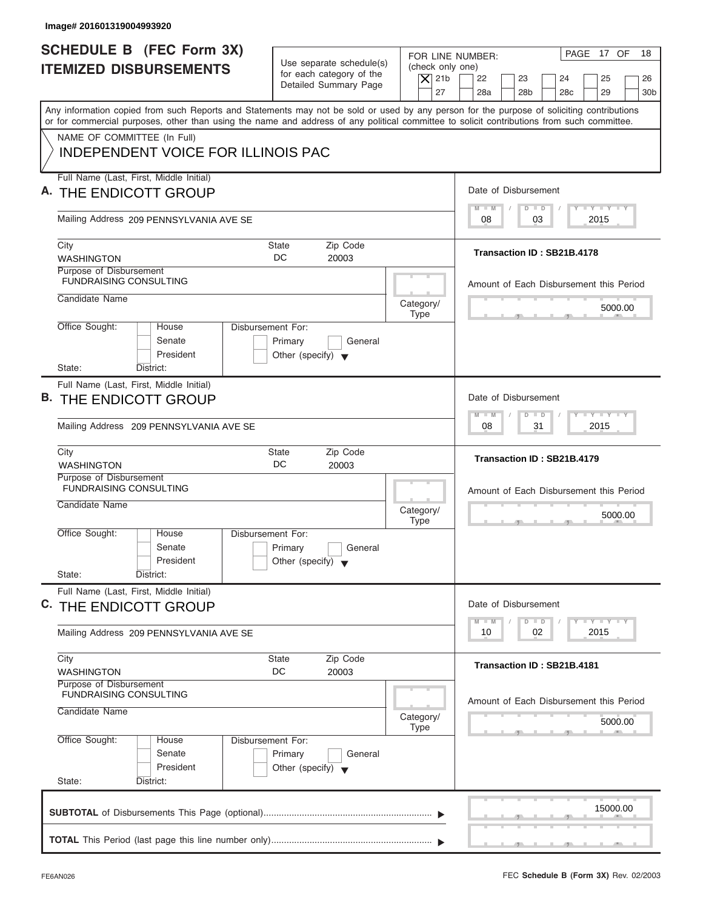| Image# 201601319004993920                                                                                                                                                                                                                                                                                              |                                                                                 |                                                                  |                                    |                                                                                       |
|------------------------------------------------------------------------------------------------------------------------------------------------------------------------------------------------------------------------------------------------------------------------------------------------------------------------|---------------------------------------------------------------------------------|------------------------------------------------------------------|------------------------------------|---------------------------------------------------------------------------------------|
| <b>SCHEDULE B</b> (FEC Form 3X)<br><b>ITEMIZED DISBURSEMENTS</b>                                                                                                                                                                                                                                                       | Use separate schedule(s)<br>for each category of the<br>Detailed Summary Page   | FOR LINE NUMBER:<br>(check only one)<br>$ \mathsf{X} $ 21b<br>27 | 22<br>23<br>28a<br>28 <sub>b</sub> | PAGE 17 OF<br>18<br>24<br>25<br>26<br>28 <sub>c</sub><br>29<br>30 <sub>b</sub>        |
| Any information copied from such Reports and Statements may not be sold or used by any person for the purpose of soliciting contributions<br>or for commercial purposes, other than using the name and address of any political committee to solicit contributions from such committee.<br>NAME OF COMMITTEE (In Full) |                                                                                 |                                                                  |                                    |                                                                                       |
| <b>INDEPENDENT VOICE FOR ILLINOIS PAC</b>                                                                                                                                                                                                                                                                              |                                                                                 |                                                                  |                                    |                                                                                       |
| Full Name (Last, First, Middle Initial)<br>A. THE ENDICOTT GROUP                                                                                                                                                                                                                                                       |                                                                                 |                                                                  | Date of Disbursement               |                                                                                       |
| Mailing Address 209 PENNSYLVANIA AVE SE                                                                                                                                                                                                                                                                                |                                                                                 |                                                                  | $M - M$<br>$D$ $D$<br>03<br>08     | $T - Y = T - Y = T - Y$<br>2015                                                       |
| City<br><b>WASHINGTON</b>                                                                                                                                                                                                                                                                                              | Zip Code<br>State<br>DC.<br>20003                                               |                                                                  | Transaction ID: SB21B.4178         |                                                                                       |
| Purpose of Disbursement<br><b>FUNDRAISING CONSULTING</b><br>Candidate Name                                                                                                                                                                                                                                             |                                                                                 |                                                                  |                                    | Amount of Each Disbursement this Period                                               |
| Office Sought:<br>House                                                                                                                                                                                                                                                                                                | Disbursement For:                                                               | Category/<br><b>Type</b>                                         |                                    | 5000.00                                                                               |
| Senate<br>President<br>State:<br>District:                                                                                                                                                                                                                                                                             | Primary<br>General<br>Other (specify) $\blacktriangledown$                      |                                                                  |                                    |                                                                                       |
| Full Name (Last, First, Middle Initial)<br>THE ENDICOTT GROUP<br>В.                                                                                                                                                                                                                                                    |                                                                                 |                                                                  | Date of Disbursement               |                                                                                       |
| Mailing Address 209 PENNSYLVANIA AVE SE                                                                                                                                                                                                                                                                                |                                                                                 |                                                                  | $M - M$<br>$D$ $D$<br>08<br>31     | $-1 - Y - 1 - Y - 1 - Y$<br>2015                                                      |
| City<br><b>WASHINGTON</b>                                                                                                                                                                                                                                                                                              | Zip Code<br><b>State</b><br>DC<br>20003                                         |                                                                  | Transaction ID: SB21B.4179         |                                                                                       |
| Purpose of Disbursement<br><b>FUNDRAISING CONSULTING</b><br>Candidate Name                                                                                                                                                                                                                                             |                                                                                 | Category/<br><b>Type</b>                                         |                                    | Amount of Each Disbursement this Period<br>5000.00                                    |
| Office Sought:<br>House<br>Senate<br>President<br>State:<br>District:                                                                                                                                                                                                                                                  | Disbursement For:<br>Primary<br>General<br>Other (specify) $\blacktriangledown$ |                                                                  |                                    | $\sim$                                                                                |
| Full Name (Last, First, Middle Initial)<br>C. THE ENDICOTT GROUP                                                                                                                                                                                                                                                       |                                                                                 |                                                                  | Date of Disbursement               |                                                                                       |
| Mailing Address 209 PENNSYLVANIA AVE SE                                                                                                                                                                                                                                                                                |                                                                                 |                                                                  | $M - M$<br>D<br>$\Box$<br>10<br>02 | $\mathbf{I}$ $\mathbf{Y}$ $\mathbf{I}$ $\mathbf{Y}$ $\mathbf{I}$ $\mathbf{Y}$<br>2015 |
| City<br><b>WASHINGTON</b><br>Purpose of Disbursement                                                                                                                                                                                                                                                                   | Zip Code<br><b>State</b><br>DC<br>20003                                         |                                                                  | Transaction ID: SB21B.4181         |                                                                                       |
| <b>FUNDRAISING CONSULTING</b><br>Candidate Name                                                                                                                                                                                                                                                                        |                                                                                 | Category/<br><b>Type</b>                                         |                                    | Amount of Each Disbursement this Period<br>5000.00                                    |
| Office Sought:<br>House<br>Senate<br>President<br>State:<br>District:                                                                                                                                                                                                                                                  | Disbursement For:<br>Primary<br>General<br>Other (specify) $\blacktriangledown$ |                                                                  |                                    |                                                                                       |
|                                                                                                                                                                                                                                                                                                                        |                                                                                 |                                                                  |                                    | 15000.00                                                                              |
|                                                                                                                                                                                                                                                                                                                        |                                                                                 |                                                                  |                                    |                                                                                       |